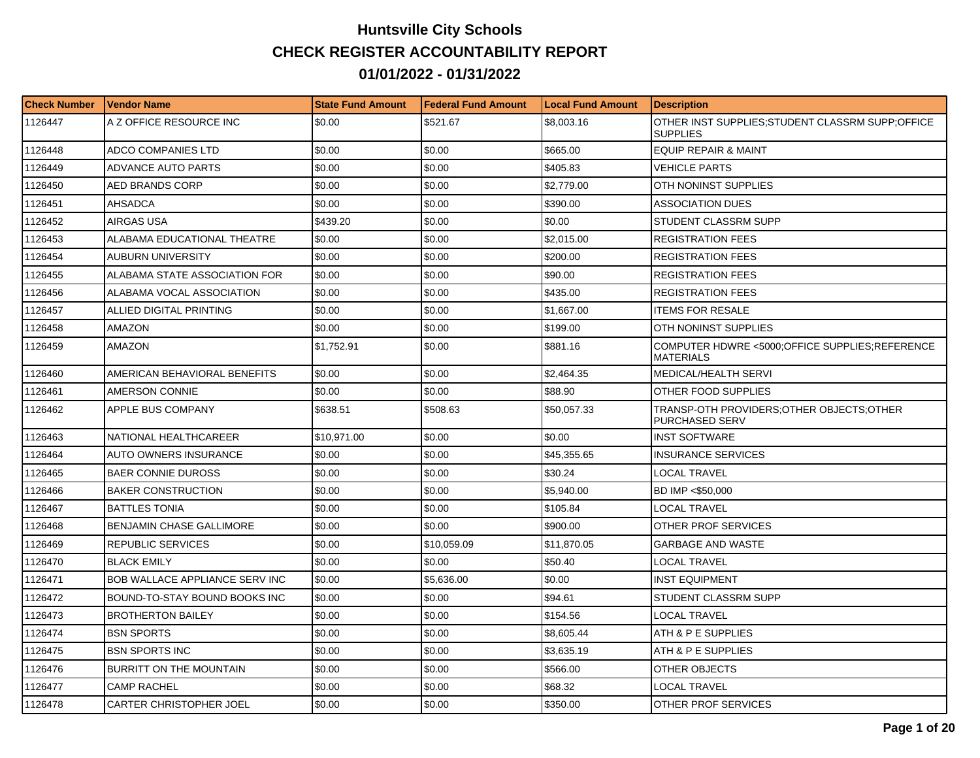## **Huntsville City Schools CHECK REGISTER ACCOUNTABILITY REPORT 01/01/2022 - 01/31/2022**

| <b>Check Number</b> | Vendor Name                           | <b>State Fund Amount</b> | Federal Fund Amount | <b>Local Fund Amount</b> | <b>Description</b>                                                 |
|---------------------|---------------------------------------|--------------------------|---------------------|--------------------------|--------------------------------------------------------------------|
| 1126447             | A Z OFFICE RESOURCE INC               | \$0.00                   | \$521.67            | \$8,003.16               | OTHER INST SUPPLIES;STUDENT CLASSRM SUPP;OFFICE<br><b>SUPPLIES</b> |
| 1126448             | <b>ADCO COMPANIES LTD</b>             | \$0.00                   | \$0.00              | \$665.00                 | <b>EQUIP REPAIR &amp; MAINT</b>                                    |
| 1126449             | <b>ADVANCE AUTO PARTS</b>             | \$0.00                   | \$0.00              | \$405.83                 | <b>VEHICLE PARTS</b>                                               |
| 1126450             | <b>AED BRANDS CORP</b>                | \$0.00                   | \$0.00              | \$2,779.00               | OTH NONINST SUPPLIES                                               |
| 1126451             | AHSADCA                               | \$0.00                   | \$0.00              | \$390.00                 | <b>ASSOCIATION DUES</b>                                            |
| 1126452             | AIRGAS USA                            | \$439.20                 | \$0.00              | \$0.00                   | STUDENT CLASSRM SUPP                                               |
| 1126453             | ALABAMA EDUCATIONAL THEATRE           | \$0.00                   | \$0.00              | \$2,015.00               | <b>REGISTRATION FEES</b>                                           |
| 1126454             | AUBURN UNIVERSITY                     | \$0.00                   | \$0.00              | \$200.00                 | <b>REGISTRATION FEES</b>                                           |
| 1126455             | ALABAMA STATE ASSOCIATION FOR         | \$0.00                   | \$0.00              | \$90.00                  | <b>REGISTRATION FEES</b>                                           |
| 1126456             | ALABAMA VOCAL ASSOCIATION             | \$0.00                   | \$0.00              | \$435.00                 | <b>REGISTRATION FEES</b>                                           |
| 1126457             | ALLIED DIGITAL PRINTING               | \$0.00                   | \$0.00              | \$1,667.00               | <b>ITEMS FOR RESALE</b>                                            |
| 1126458             | AMAZON                                | \$0.00                   | \$0.00              | \$199.00                 | OTH NONINST SUPPLIES                                               |
| 1126459             | <b>AMAZON</b>                         | \$1,752.91               | \$0.00              | \$881.16                 | COMPUTER HDWRE <5000;OFFICE SUPPLIES;REFERENCE<br><b>MATERIALS</b> |
| 1126460             | AMERICAN BEHAVIORAL BENEFITS          | \$0.00                   | \$0.00              | \$2,464.35               | MEDICAL/HEALTH SERVI                                               |
| 1126461             | AMERSON CONNIE                        | \$0.00                   | \$0.00              | \$88.90                  | OTHER FOOD SUPPLIES                                                |
| 1126462             | APPLE BUS COMPANY                     | \$638.51                 | \$508.63            | \$50,057.33              | TRANSP-OTH PROVIDERS;OTHER OBJECTS;OTHER<br>PURCHASED SERV         |
| 1126463             | NATIONAL HEALTHCAREER                 | \$10,971.00              | \$0.00              | \$0.00                   | INST SOFTWARE                                                      |
| 1126464             | <b>AUTO OWNERS INSURANCE</b>          | \$0.00                   | \$0.00              | \$45,355.65              | <b>INSURANCE SERVICES</b>                                          |
| 1126465             | <b>BAER CONNIE DUROSS</b>             | \$0.00                   | \$0.00              | \$30.24                  | LOCAL TRAVEL                                                       |
| 1126466             | <b>BAKER CONSTRUCTION</b>             | \$0.00                   | \$0.00              | \$5,940.00               | BD IMP <\$50,000                                                   |
| 1126467             | <b>BATTLES TONIA</b>                  | \$0.00                   | \$0.00              | \$105.84                 | LOCAL TRAVEL                                                       |
| 1126468             | <b>BENJAMIN CHASE GALLIMORE</b>       | \$0.00                   | \$0.00              | \$900.00                 | OTHER PROF SERVICES                                                |
| 1126469             | REPUBLIC SERVICES                     | \$0.00                   | \$10,059.09         | \$11,870.05              | GARBAGE AND WASTE                                                  |
| 1126470             | <b>BLACK EMILY</b>                    | \$0.00                   | \$0.00              | \$50.40                  | <b>LOCAL TRAVEL</b>                                                |
| 1126471             | <b>BOB WALLACE APPLIANCE SERV INC</b> | \$0.00                   | \$5,636.00          | \$0.00                   | INST EQUIPMENT                                                     |
| 1126472             | BOUND-TO-STAY BOUND BOOKS INC         | \$0.00                   | \$0.00              | \$94.61                  | STUDENT CLASSRM SUPP                                               |
| 1126473             | <b>BROTHERTON BAILEY</b>              | \$0.00                   | \$0.00              | \$154.56                 | <b>LOCAL TRAVEL</b>                                                |
| 1126474             | <b>BSN SPORTS</b>                     | \$0.00                   | \$0.00              | \$8,605.44               | ATH & P E SUPPLIES                                                 |
| 1126475             | <b>BSN SPORTS INC</b>                 | \$0.00                   | \$0.00              | \$3,635.19               | ATH & P E SUPPLIES                                                 |
| 1126476             | BURRITT ON THE MOUNTAIN               | \$0.00                   | \$0.00              | \$566.00                 | OTHER OBJECTS                                                      |
| 1126477             | <b>CAMP RACHEL</b>                    | \$0.00                   | \$0.00              | \$68.32                  | <b>LOCAL TRAVEL</b>                                                |
| 1126478             | <b>CARTER CHRISTOPHER JOEL</b>        | \$0.00                   | \$0.00              | \$350.00                 | OTHER PROF SERVICES                                                |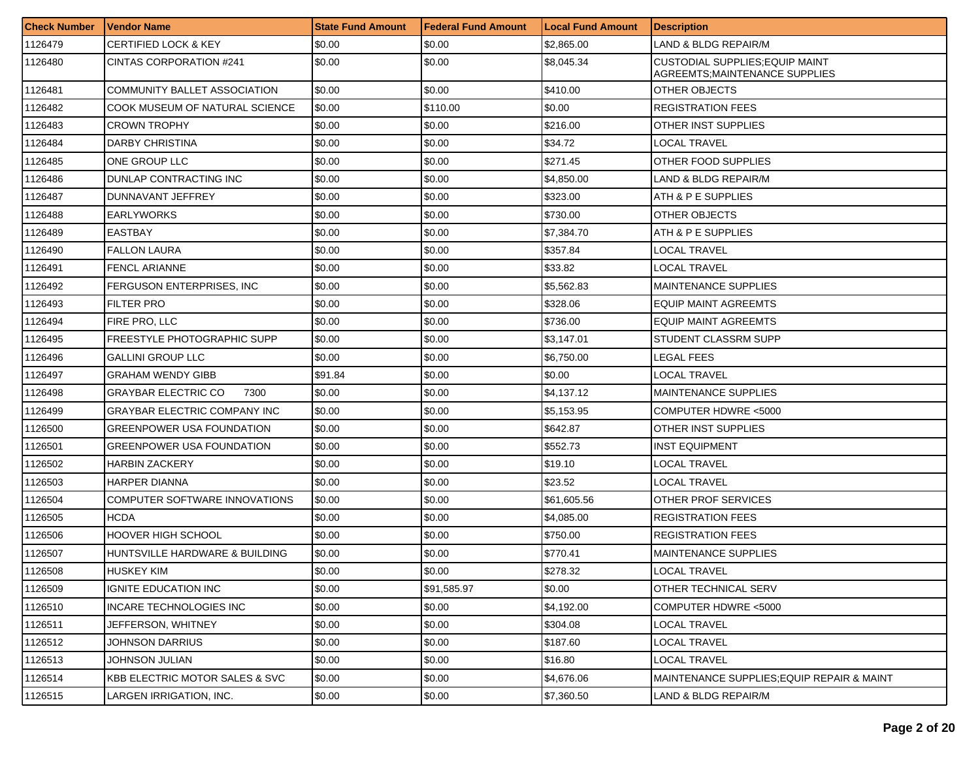| <b>Check Number</b> | l Vendor Name                      | <b>State Fund Amount</b> | Federal Fund Amount | <b>Local Fund Amount</b> | <b>Description</b>                                                              |
|---------------------|------------------------------------|--------------------------|---------------------|--------------------------|---------------------------------------------------------------------------------|
| 1126479             | CERTIFIED LOCK & KEY               | \$0.00                   | \$0.00              | \$2,865.00               | LAND & BLDG REPAIR/M                                                            |
| 1126480             | CINTAS CORPORATION #241            | \$0.00                   | \$0.00              | \$8,045.34               | <b>CUSTODIAL SUPPLIES: EQUIP MAINT</b><br><b>AGREEMTS; MAINTENANCE SUPPLIES</b> |
| 1126481             | COMMUNITY BALLET ASSOCIATION       | \$0.00                   | \$0.00              | \$410.00                 | OTHER OBJECTS                                                                   |
| 1126482             | COOK MUSEUM OF NATURAL SCIENCE     | \$0.00                   | \$110.00            | \$0.00                   | <b>REGISTRATION FEES</b>                                                        |
| 1126483             | <b>CROWN TROPHY</b>                | \$0.00                   | \$0.00              | \$216.00                 | OTHER INST SUPPLIES                                                             |
| 1126484             | <b>DARBY CHRISTINA</b>             | \$0.00                   | \$0.00              | \$34.72                  | LOCAL TRAVEL                                                                    |
| 1126485             | ONE GROUP LLC                      | \$0.00                   | \$0.00              | \$271.45                 | OTHER FOOD SUPPLIES                                                             |
| 1126486             | DUNLAP CONTRACTING INC             | \$0.00                   | \$0.00              | \$4,850.00               | LAND & BLDG REPAIR/M                                                            |
| 1126487             | DUNNAVANT JEFFREY                  | \$0.00                   | \$0.00              | \$323.00                 | ATH & P E SUPPLIES                                                              |
| 1126488             | <b>EARLYWORKS</b>                  | \$0.00                   | \$0.00              | \$730.00                 | OTHER OBJECTS                                                                   |
| 1126489             | <b>EASTBAY</b>                     | \$0.00                   | \$0.00              | \$7,384.70               | ATH & P E SUPPLIES                                                              |
| 1126490             | <b>FALLON LAURA</b>                | \$0.00                   | \$0.00              | \$357.84                 | LOCAL TRAVEL                                                                    |
| 1126491             | <b>FENCL ARIANNE</b>               | \$0.00                   | \$0.00              | \$33.82                  | LOCAL TRAVEL                                                                    |
| 1126492             | FERGUSON ENTERPRISES, INC          | \$0.00                   | \$0.00              | \$5,562.83               | <b>MAINTENANCE SUPPLIES</b>                                                     |
| 1126493             | <b>FILTER PRO</b>                  | \$0.00                   | \$0.00              | \$328.06                 | <b>EQUIP MAINT AGREEMTS</b>                                                     |
| 1126494             | FIRE PRO, LLC                      | \$0.00                   | \$0.00              | \$736.00                 | <b>EQUIP MAINT AGREEMTS</b>                                                     |
| 1126495             | FREESTYLE PHOTOGRAPHIC SUPP        | \$0.00                   | \$0.00              | \$3,147.01               | STUDENT CLASSRM SUPP                                                            |
| 1126496             | <b>GALLINI GROUP LLC</b>           | \$0.00                   | \$0.00              | \$6,750.00               | LEGAL FEES                                                                      |
| 1126497             | <b>GRAHAM WENDY GIBB</b>           | \$91.84                  | \$0.00              | \$0.00                   | LOCAL TRAVEL                                                                    |
| 1126498             | <b>GRAYBAR ELECTRIC CO</b><br>7300 | \$0.00                   | \$0.00              | \$4,137.12               | <b>MAINTENANCE SUPPLIES</b>                                                     |
| 1126499             | GRAYBAR ELECTRIC COMPANY INC       | \$0.00                   | \$0.00              | \$5,153.95               | COMPUTER HDWRE <5000                                                            |
| 1126500             | GREENPOWER USA FOUNDATION          | \$0.00                   | \$0.00              | \$642.87                 | OTHER INST SUPPLIES                                                             |
| 1126501             | GREENPOWER USA FOUNDATION          | \$0.00                   | \$0.00              | \$552.73                 | <b>INST EQUIPMENT</b>                                                           |
| 1126502             | HARBIN ZACKERY                     | \$0.00                   | \$0.00              | \$19.10                  | LOCAL TRAVEL                                                                    |
| 1126503             | <b>HARPER DIANNA</b>               | \$0.00                   | \$0.00              | \$23.52                  | LOCAL TRAVEL                                                                    |
| 1126504             | COMPUTER SOFTWARE INNOVATIONS      | \$0.00                   | \$0.00              | \$61,605.56              | OTHER PROF SERVICES                                                             |
| 1126505             | HCDA                               | \$0.00                   | \$0.00              | \$4.085.00               | <b>REGISTRATION FEES</b>                                                        |
| 1126506             | HOOVER HIGH SCHOOL                 | \$0.00                   | \$0.00              | \$750.00                 | <b>REGISTRATION FEES</b>                                                        |
| 1126507             | HUNTSVILLE HARDWARE & BUILDING     | \$0.00                   | \$0.00              | \$770.41                 | <b>MAINTENANCE SUPPLIES</b>                                                     |
| 1126508             | <b>HUSKEY KIM</b>                  | \$0.00                   | \$0.00              | \$278.32                 | <b>LOCAL TRAVEL</b>                                                             |
| 1126509             | IGNITE EDUCATION INC               | \$0.00                   | \$91,585.97         | \$0.00                   | OTHER TECHNICAL SERV                                                            |
| 1126510             | <b>INCARE TECHNOLOGIES INC</b>     | \$0.00                   | \$0.00              | \$4,192.00               | COMPUTER HDWRE <5000                                                            |
| 1126511             | JEFFERSON, WHITNEY                 | \$0.00                   | \$0.00              | \$304.08                 | <b>LOCAL TRAVEL</b>                                                             |
| 1126512             | JOHNSON DARRIUS                    | \$0.00                   | \$0.00              | \$187.60                 | LOCAL TRAVEL                                                                    |
| 1126513             | JOHNSON JULIAN                     | \$0.00                   | \$0.00              | \$16.80                  | LOCAL TRAVEL                                                                    |
| 1126514             | KBB ELECTRIC MOTOR SALES & SVC     | \$0.00                   | \$0.00              | \$4,676.06               | MAINTENANCE SUPPLIES; EQUIP REPAIR & MAINT                                      |
| 1126515             | LARGEN IRRIGATION, INC.            | \$0.00                   | \$0.00              | \$7,360.50               | LAND & BLDG REPAIR/M                                                            |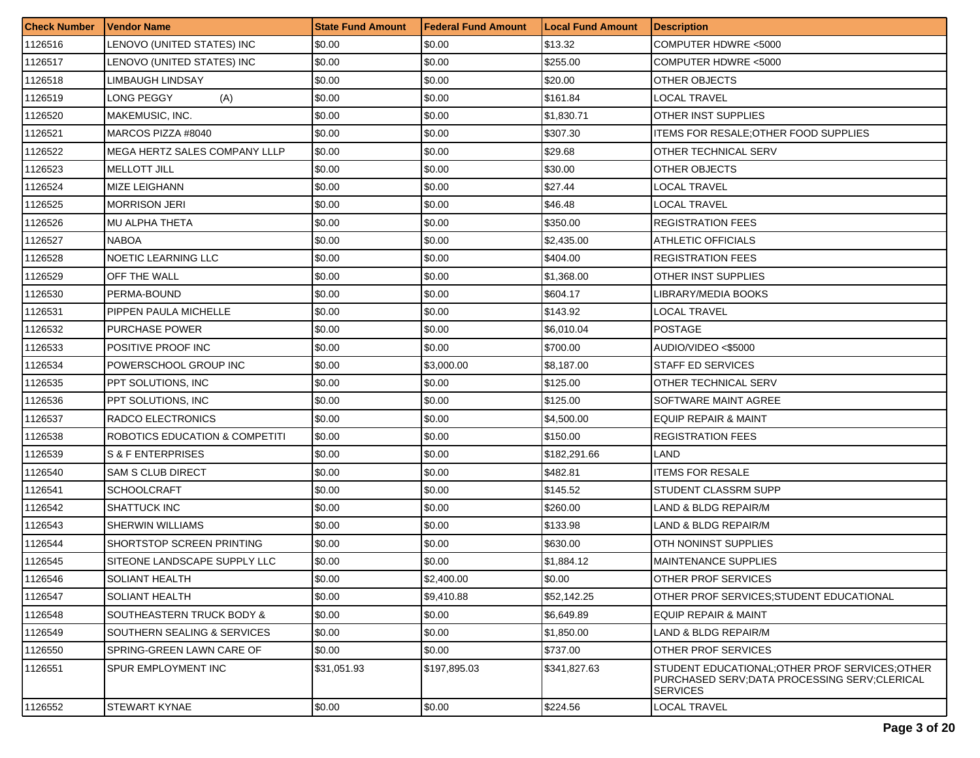| <b>Check Number</b> | <b>Vendor Name</b>             | <b>State Fund Amount</b> | <b>Federal Fund Amount</b> | <b>Local Fund Amount</b> | <b>Description</b>                                                                                                 |
|---------------------|--------------------------------|--------------------------|----------------------------|--------------------------|--------------------------------------------------------------------------------------------------------------------|
| 1126516             | LENOVO (UNITED STATES) INC     | \$0.00                   | \$0.00                     | \$13.32                  | COMPUTER HDWRE <5000                                                                                               |
| 1126517             | LENOVO (UNITED STATES) INC     | \$0.00                   | \$0.00                     | \$255.00                 | COMPUTER HDWRE <5000                                                                                               |
| 1126518             | LIMBAUGH LINDSAY               | \$0.00                   | \$0.00                     | \$20.00                  | OTHER OBJECTS                                                                                                      |
| 1126519             | LONG PEGGY<br>(A)              | \$0.00                   | \$0.00                     | \$161.84                 | <b>LOCAL TRAVEL</b>                                                                                                |
| 1126520             | MAKEMUSIC, INC.                | \$0.00                   | \$0.00                     | \$1,830.71               | OTHER INST SUPPLIES                                                                                                |
| 1126521             | MARCOS PIZZA #8040             | \$0.00                   | \$0.00                     | \$307.30                 | <b>ITEMS FOR RESALE; OTHER FOOD SUPPLIES</b>                                                                       |
| 1126522             | MEGA HERTZ SALES COMPANY LLLP  | \$0.00                   | \$0.00                     | \$29.68                  | OTHER TECHNICAL SERV                                                                                               |
| 1126523             | <b>MELLOTT JILL</b>            | \$0.00                   | \$0.00                     | \$30.00                  | OTHER OBJECTS                                                                                                      |
| 1126524             | MIZE LEIGHANN                  | \$0.00                   | \$0.00                     | \$27.44                  | LOCAL TRAVEL                                                                                                       |
| 1126525             | <b>MORRISON JERI</b>           | \$0.00                   | \$0.00                     | \$46.48                  | LOCAL TRAVEL                                                                                                       |
| 1126526             | MU ALPHA THETA                 | \$0.00                   | \$0.00                     | \$350.00                 | <b>REGISTRATION FEES</b>                                                                                           |
| 1126527             | <b>NABOA</b>                   | \$0.00                   | \$0.00                     | \$2,435.00               | ATHLETIC OFFICIALS                                                                                                 |
| 1126528             | NOETIC LEARNING LLC            | \$0.00                   | \$0.00                     | \$404.00                 | <b>REGISTRATION FEES</b>                                                                                           |
| 1126529             | OFF THE WALL                   | \$0.00                   | \$0.00                     | \$1,368.00               | OTHER INST SUPPLIES                                                                                                |
| 1126530             | PERMA-BOUND                    | \$0.00                   | \$0.00                     | \$604.17                 | LIBRARY/MEDIA BOOKS                                                                                                |
| 1126531             | PIPPEN PAULA MICHELLE          | \$0.00                   | \$0.00                     | \$143.92                 | LOCAL TRAVEL                                                                                                       |
| 1126532             | <b>PURCHASE POWER</b>          | \$0.00                   | \$0.00                     | \$6,010.04               | <b>POSTAGE</b>                                                                                                     |
| 1126533             | POSITIVE PROOF INC             | \$0.00                   | \$0.00                     | \$700.00                 | AUDIO/VIDEO <\$5000                                                                                                |
| 1126534             | POWERSCHOOL GROUP INC          | \$0.00                   | \$3,000.00                 | \$8,187.00               | <b>STAFF ED SERVICES</b>                                                                                           |
| 1126535             | PPT SOLUTIONS, INC             | \$0.00                   | \$0.00                     | \$125.00                 | OTHER TECHNICAL SERV                                                                                               |
| 1126536             | PPT SOLUTIONS, INC             | \$0.00                   | \$0.00                     | \$125.00                 | SOFTWARE MAINT AGREE                                                                                               |
| 1126537             | RADCO ELECTRONICS              | \$0.00                   | \$0.00                     | \$4,500.00               | <b>EQUIP REPAIR &amp; MAINT</b>                                                                                    |
| 1126538             | ROBOTICS EDUCATION & COMPETITI | \$0.00                   | \$0.00                     | \$150.00                 | <b>REGISTRATION FEES</b>                                                                                           |
| 1126539             | S & F ENTERPRISES              | \$0.00                   | \$0.00                     | \$182,291.66             | <b>LAND</b>                                                                                                        |
| 1126540             | SAM S CLUB DIRECT              | \$0.00                   | \$0.00                     | \$482.81                 | <b>ITEMS FOR RESALE</b>                                                                                            |
| 1126541             | <b>SCHOOLCRAFT</b>             | \$0.00                   | \$0.00                     | \$145.52                 | STUDENT CLASSRM SUPP                                                                                               |
| 1126542             | SHATTUCK INC                   | \$0.00                   | \$0.00                     | \$260.00                 | LAND & BLDG REPAIR/M                                                                                               |
| 1126543             | <b>SHERWIN WILLIAMS</b>        | \$0.00                   | \$0.00                     | \$133.98                 | LAND & BLDG REPAIR/M                                                                                               |
| 1126544             | SHORTSTOP SCREEN PRINTING      | \$0.00                   | \$0.00                     | \$630.00                 | OTH NONINST SUPPLIES                                                                                               |
| 1126545             | SITEONE LANDSCAPE SUPPLY LLC   | \$0.00                   | \$0.00                     | \$1,884.12               | <b>MAINTENANCE SUPPLIES</b>                                                                                        |
| 1126546             | <b>SOLIANT HEALTH</b>          | \$0.00                   | \$2,400.00                 | \$0.00                   | <b>OTHER PROF SERVICES</b>                                                                                         |
| 1126547             | <b>SOLIANT HEALTH</b>          | \$0.00                   | \$9,410.88                 | \$52,142.25              | OTHER PROF SERVICES; STUDENT EDUCATIONAL                                                                           |
| 1126548             | SOUTHEASTERN TRUCK BODY &      | \$0.00                   | \$0.00                     | \$6,649.89               | <b>EQUIP REPAIR &amp; MAINT</b>                                                                                    |
| 1126549             | SOUTHERN SEALING & SERVICES    | \$0.00                   | \$0.00                     | \$1,850.00               | LAND & BLDG REPAIR/M                                                                                               |
| 1126550             | SPRING-GREEN LAWN CARE OF      | \$0.00                   | \$0.00                     | \$737.00                 | OTHER PROF SERVICES                                                                                                |
| 1126551             | SPUR EMPLOYMENT INC            | \$31,051.93              | \$197,895.03               | \$341,827.63             | STUDENT EDUCATIONAL; OTHER PROF SERVICES; OTHER<br>PURCHASED SERV:DATA PROCESSING SERV:CLERICAL<br><b>SERVICES</b> |
| 1126552             | <b>STEWART KYNAE</b>           | \$0.00                   | \$0.00                     | \$224.56                 | LOCAL TRAVEL                                                                                                       |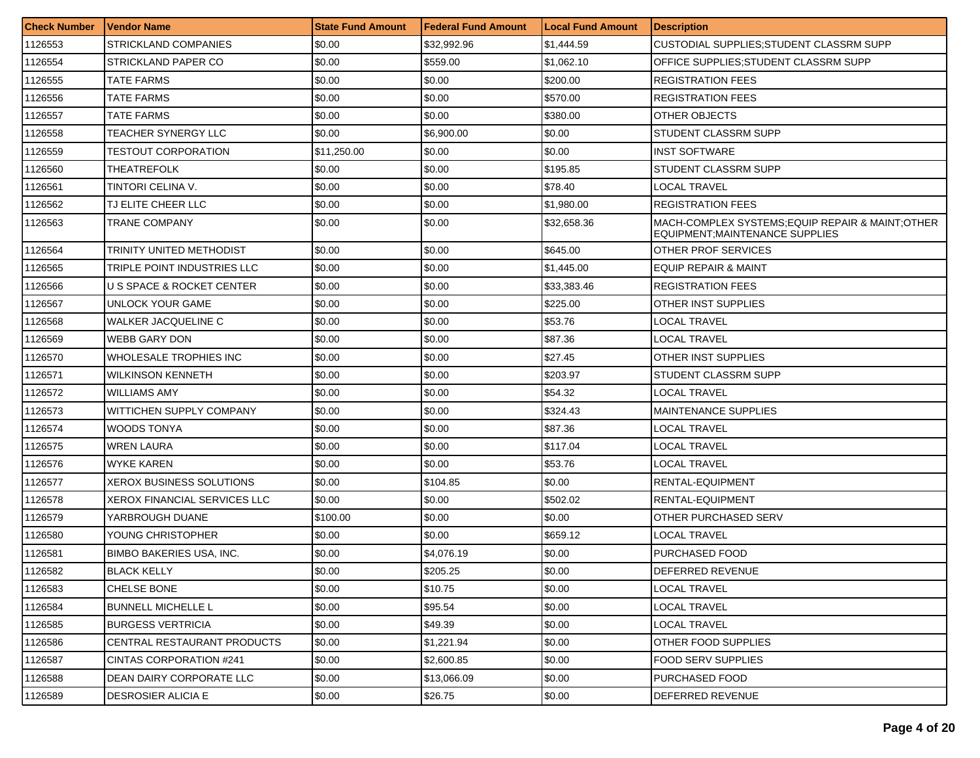| <b>Check Number</b> | <b>Vendor Name</b>                   | <b>State Fund Amount</b> | Federal Fund Amount | Local Fund Amount | <b>Description</b>                                                                  |
|---------------------|--------------------------------------|--------------------------|---------------------|-------------------|-------------------------------------------------------------------------------------|
| 1126553             | STRICKLAND COMPANIES                 | \$0.00                   | \$32,992.96         | \$1,444.59        | CUSTODIAL SUPPLIES; STUDENT CLASSRM SUPP                                            |
| 1126554             | STRICKLAND PAPER CO                  | \$0.00                   | \$559.00            | \$1.062.10        | OFFICE SUPPLIES; STUDENT CLASSRM SUPP                                               |
| 1126555             | TATE FARMS                           | \$0.00                   | \$0.00              | \$200.00          | <b>REGISTRATION FEES</b>                                                            |
| 1126556             | TATE FARMS                           | \$0.00                   | \$0.00              | \$570.00          | <b>REGISTRATION FEES</b>                                                            |
| 1126557             | TATE FARMS                           | \$0.00                   | \$0.00              | \$380.00          | OTHER OBJECTS                                                                       |
| 1126558             | TEACHER SYNERGY LLC                  | \$0.00                   | \$6,900.00          | \$0.00            | STUDENT CLASSRM SUPP                                                                |
| 1126559             | <b>TESTOUT CORPORATION</b>           | \$11,250.00              | \$0.00              | \$0.00            | INST SOFTWARE                                                                       |
| 1126560             | THEATREFOLK                          | \$0.00                   | \$0.00              | \$195.85          | STUDENT CLASSRM SUPP                                                                |
| 1126561             | TINTORI CELINA V.                    | \$0.00                   | \$0.00              | \$78.40           | <b>LOCAL TRAVEL</b>                                                                 |
| 1126562             | TJ ELITE CHEER LLC                   | \$0.00                   | \$0.00              | \$1,980.00        | REGISTRATION FEES                                                                   |
| 1126563             | TRANE COMPANY                        | \$0.00                   | \$0.00              | \$32,658.36       | MACH-COMPLEX SYSTEMS; EQUIP REPAIR & MAINT; OTHER<br>EQUIPMENT;MAINTENANCE SUPPLIES |
| 1126564             | TRINITY UNITED METHODIST             | \$0.00                   | \$0.00              | \$645.00          | OTHER PROF SERVICES                                                                 |
| 1126565             | TRIPLE POINT INDUSTRIES LLC          | \$0.00                   | \$0.00              | \$1,445.00        | EQUIP REPAIR & MAINT                                                                |
| 1126566             | <b>U S SPACE &amp; ROCKET CENTER</b> | \$0.00                   | \$0.00              | \$33,383.46       | <b>REGISTRATION FEES</b>                                                            |
| 1126567             | <b>UNLOCK YOUR GAME</b>              | \$0.00                   | \$0.00              | \$225.00          | OTHER INST SUPPLIES                                                                 |
| 1126568             | WALKER JACQUELINE C                  | \$0.00                   | \$0.00              | \$53.76           | LOCAL TRAVEL                                                                        |
| 1126569             | <b>WEBB GARY DON</b>                 | \$0.00                   | \$0.00              | \$87.36           | LOCAL TRAVEL                                                                        |
| 1126570             | WHOLESALE TROPHIES INC               | \$0.00                   | \$0.00              | \$27.45           | OTHER INST SUPPLIES                                                                 |
| 1126571             | <b>WILKINSON KENNETH</b>             | \$0.00                   | \$0.00              | \$203.97          | STUDENT CLASSRM SUPP                                                                |
| 1126572             | <b>WILLIAMS AMY</b>                  | \$0.00                   | \$0.00              | \$54.32           | <b>LOCAL TRAVEL</b>                                                                 |
| 1126573             | WITTICHEN SUPPLY COMPANY             | \$0.00                   | \$0.00              | \$324.43          | <b>MAINTENANCE SUPPLIES</b>                                                         |
| 1126574             | WOODS TONYA                          | \$0.00                   | \$0.00              | \$87.36           | LOCAL TRAVEL                                                                        |
| 1126575             | <b>WREN LAURA</b>                    | \$0.00                   | \$0.00              | \$117.04          | LOCAL TRAVEL                                                                        |
| 1126576             | WYKE KAREN                           | \$0.00                   | \$0.00              | \$53.76           | LOCAL TRAVEL                                                                        |
| 1126577             | XEROX BUSINESS SOLUTIONS             | \$0.00                   | \$104.85            | \$0.00            | RENTAL-EQUIPMENT                                                                    |
| 1126578             | XEROX FINANCIAL SERVICES LLC         | \$0.00                   | \$0.00              | \$502.02          | RENTAL-EQUIPMENT                                                                    |
| 1126579             | YARBROUGH DUANE                      | \$100.00                 | \$0.00              | \$0.00            | OTHER PURCHASED SERV                                                                |
| 1126580             | YOUNG CHRISTOPHER                    | \$0.00                   | \$0.00              | \$659.12          | LOCAL TRAVEL                                                                        |
| 1126581             | <b>BIMBO BAKERIES USA, INC.</b>      | \$0.00                   | \$4.076.19          | \$0.00            | PURCHASED FOOD                                                                      |
| 1126582             | <b>BLACK KELLY</b>                   | \$0.00                   | \$205.25            | \$0.00            | DEFERRED REVENUE                                                                    |
| 1126583             | CHELSE BONE                          | \$0.00                   | \$10.75             | \$0.00            | LOCAL TRAVEL                                                                        |
| 1126584             | <b>BUNNELL MICHELLE L</b>            | \$0.00                   | \$95.54             | \$0.00            | LOCAL TRAVEL                                                                        |
| 1126585             | <b>BURGESS VERTRICIA</b>             | \$0.00                   | \$49.39             | \$0.00            | LOCAL TRAVEL                                                                        |
| 1126586             | CENTRAL RESTAURANT PRODUCTS          | \$0.00                   | \$1,221.94          | \$0.00            | OTHER FOOD SUPPLIES                                                                 |
| 1126587             | CINTAS CORPORATION #241              | \$0.00                   | \$2,600.85          | \$0.00            | <b>FOOD SERV SUPPLIES</b>                                                           |
| 1126588             | DEAN DAIRY CORPORATE LLC             | \$0.00                   | \$13.066.09         | \$0.00            | PURCHASED FOOD                                                                      |
| 1126589             | <b>DESROSIER ALICIA E</b>            | \$0.00                   | \$26.75             | \$0.00            | DEFERRED REVENUE                                                                    |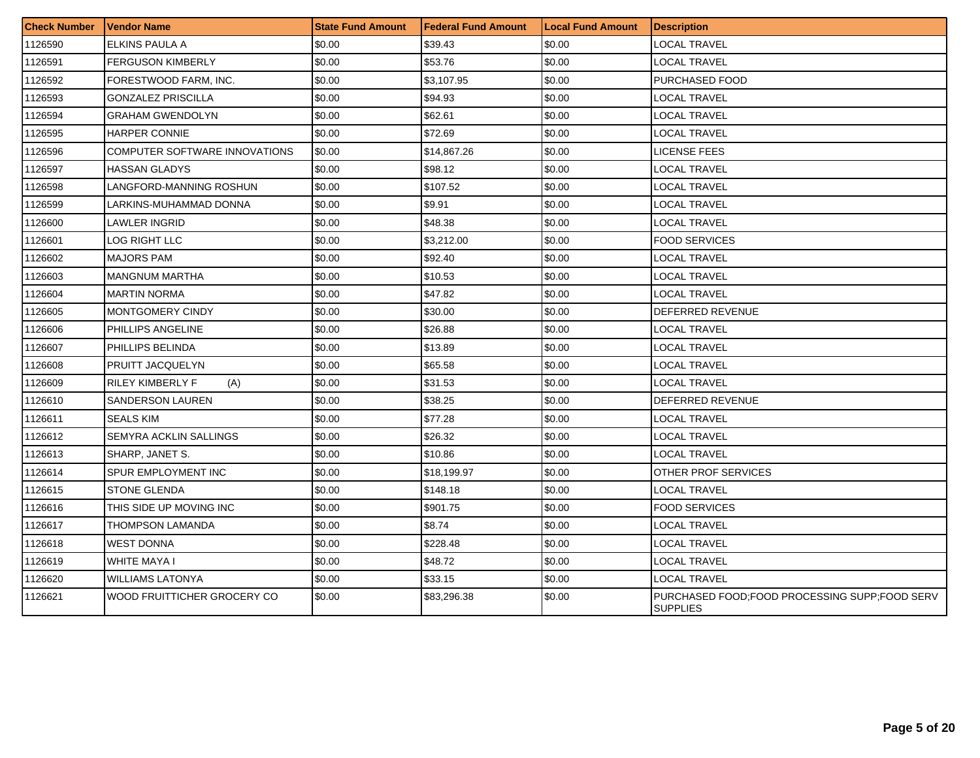| <b>Check Number</b> | <b>Vendor Name</b>             | <b>State Fund Amount</b> | Federal Fund Amount | <b>Local Fund Amount</b> | <b>Description</b>                                               |
|---------------------|--------------------------------|--------------------------|---------------------|--------------------------|------------------------------------------------------------------|
| 1126590             | ELKINS PAULA A                 | \$0.00                   | \$39.43             | \$0.00                   | <b>LOCAL TRAVEL</b>                                              |
| 1126591             | <b>FERGUSON KIMBERLY</b>       | \$0.00                   | \$53.76             | \$0.00                   | LOCAL TRAVEL                                                     |
| 1126592             | FORESTWOOD FARM, INC.          | \$0.00                   | \$3,107.95          | \$0.00                   | PURCHASED FOOD                                                   |
| 1126593             | <b>GONZALEZ PRISCILLA</b>      | \$0.00                   | \$94.93             | \$0.00                   | LOCAL TRAVEL                                                     |
| 1126594             | <b>GRAHAM GWENDOLYN</b>        | \$0.00                   | \$62.61             | \$0.00                   | LOCAL TRAVEL                                                     |
| 1126595             | <b>HARPER CONNIE</b>           | \$0.00                   | \$72.69             | \$0.00                   | LOCAL TRAVEL                                                     |
| 1126596             | COMPUTER SOFTWARE INNOVATIONS  | \$0.00                   | \$14,867.26         | \$0.00                   | <b>LICENSE FEES</b>                                              |
| 1126597             | <b>HASSAN GLADYS</b>           | \$0.00                   | \$98.12             | \$0.00                   | <b>LOCAL TRAVEL</b>                                              |
| 1126598             | LANGFORD-MANNING ROSHUN        | \$0.00                   | \$107.52            | \$0.00                   | <b>LOCAL TRAVEL</b>                                              |
| 1126599             | LARKINS-MUHAMMAD DONNA         | \$0.00                   | \$9.91              | \$0.00                   | <b>LOCAL TRAVEL</b>                                              |
| 1126600             | LAWLER INGRID                  | \$0.00                   | \$48.38             | \$0.00                   | LOCAL TRAVEL                                                     |
| 1126601             | LOG RIGHT LLC                  | \$0.00                   | \$3,212.00          | \$0.00                   | <b>FOOD SERVICES</b>                                             |
| 1126602             | <b>MAJORS PAM</b>              | \$0.00                   | \$92.40             | \$0.00                   | LOCAL TRAVEL                                                     |
| 1126603             | <b>MANGNUM MARTHA</b>          | \$0.00                   | \$10.53             | \$0.00                   | <b>LOCAL TRAVEL</b>                                              |
| 1126604             | <b>MARTIN NORMA</b>            | \$0.00                   | \$47.82             | \$0.00                   | LOCAL TRAVEL                                                     |
| 1126605             | <b>MONTGOMERY CINDY</b>        | \$0.00                   | \$30.00             | \$0.00                   | DEFERRED REVENUE                                                 |
| 1126606             | PHILLIPS ANGELINE              | \$0.00                   | \$26.88             | \$0.00                   | LOCAL TRAVEL                                                     |
| 1126607             | PHILLIPS BELINDA               | \$0.00                   | \$13.89             | \$0.00                   | LOCAL TRAVEL                                                     |
| 1126608             | PRUITT JACQUELYN               | \$0.00                   | \$65.58             | \$0.00                   | <b>LOCAL TRAVEL</b>                                              |
| 1126609             | <b>RILEY KIMBERLY F</b><br>(A) | \$0.00                   | \$31.53             | \$0.00                   | <b>LOCAL TRAVEL</b>                                              |
| 1126610             | <b>SANDERSON LAUREN</b>        | \$0.00                   | \$38.25             | \$0.00                   | DEFERRED REVENUE                                                 |
| 1126611             | SEALS KIM                      | \$0.00                   | \$77.28             | \$0.00                   | LOCAL TRAVEL                                                     |
| 1126612             | SEMYRA ACKLIN SALLINGS         | \$0.00                   | \$26.32             | \$0.00                   | LOCAL TRAVEL                                                     |
| 1126613             | SHARP, JANET S.                | \$0.00                   | \$10.86             | \$0.00                   | <b>LOCAL TRAVEL</b>                                              |
| 1126614             | SPUR EMPLOYMENT INC            | \$0.00                   | \$18,199.97         | \$0.00                   | OTHER PROF SERVICES                                              |
| 1126615             | <b>STONE GLENDA</b>            | \$0.00                   | \$148.18            | \$0.00                   | LOCAL TRAVEL                                                     |
| 1126616             | THIS SIDE UP MOVING INC        | \$0.00                   | \$901.75            | \$0.00                   | <b>FOOD SERVICES</b>                                             |
| 1126617             | THOMPSON LAMANDA               | \$0.00                   | \$8.74              | \$0.00                   | LOCAL TRAVEL                                                     |
| 1126618             | <b>WEST DONNA</b>              | \$0.00                   | \$228.48            | \$0.00                   | LOCAL TRAVEL                                                     |
| 1126619             | WHITE MAYA I                   | \$0.00                   | \$48.72             | \$0.00                   | LOCAL TRAVEL                                                     |
| 1126620             | <b>WILLIAMS LATONYA</b>        | \$0.00                   | \$33.15             | \$0.00                   | <b>LOCAL TRAVEL</b>                                              |
| 1126621             | WOOD FRUITTICHER GROCERY CO    | \$0.00                   | \$83,296.38         | \$0.00                   | PURCHASED FOOD;FOOD PROCESSING SUPP;FOOD SERV<br><b>SUPPLIES</b> |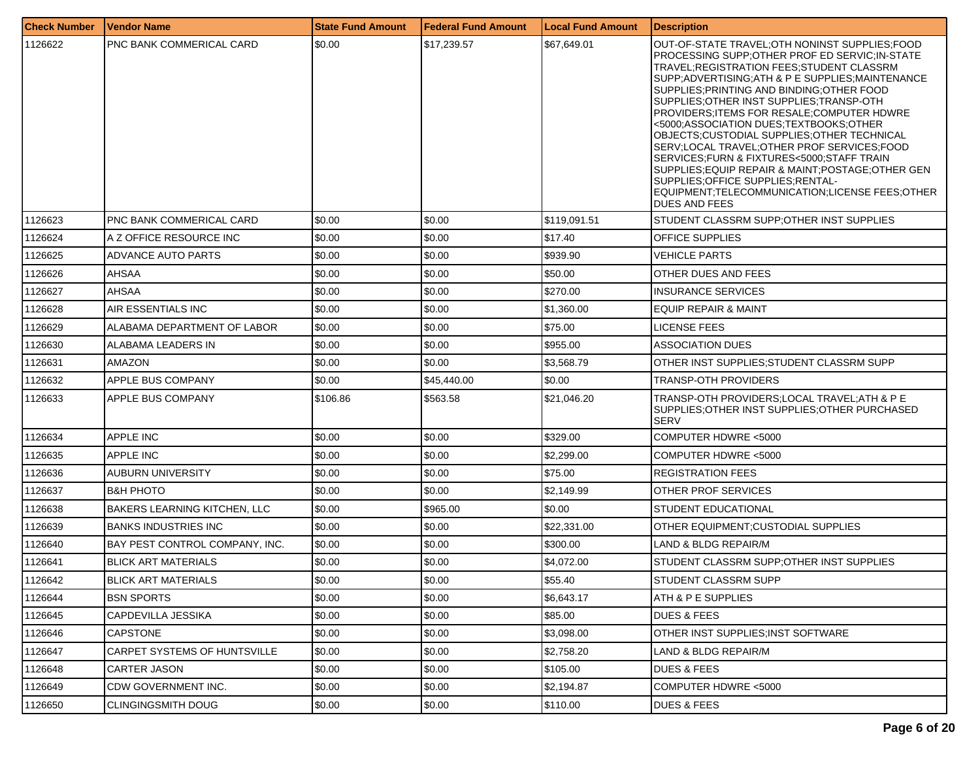| <b>Check Number</b> | Vendor Name                         | <b>State Fund Amount</b> | Federal Fund Amount | <b>Local Fund Amount</b> | <b>Description</b>                                                                                                                                                                                                                                                                                                                                                                                                                                                                                                                                                                                                                                                                              |
|---------------------|-------------------------------------|--------------------------|---------------------|--------------------------|-------------------------------------------------------------------------------------------------------------------------------------------------------------------------------------------------------------------------------------------------------------------------------------------------------------------------------------------------------------------------------------------------------------------------------------------------------------------------------------------------------------------------------------------------------------------------------------------------------------------------------------------------------------------------------------------------|
| 1126622             | PNC BANK COMMERICAL CARD            | \$0.00                   | \$17,239.57         | \$67,649.01              | OUT-OF-STATE TRAVEL;OTH NONINST SUPPLIES;FOOD<br>PROCESSING SUPP;OTHER PROF ED SERVIC; IN-STATE<br>TRAVEL;REGISTRATION FEES;STUDENT CLASSRM<br>SUPP; ADVERTISING; ATH & P E SUPPLIES; MAINTENANCE<br>SUPPLIES; PRINTING AND BINDING; OTHER FOOD<br>SUPPLIES; OTHER INST SUPPLIES; TRANSP-OTH<br>PROVIDERS; ITEMS FOR RESALE; COMPUTER HDWRE<br><5000;ASSOCIATION DUES;TEXTBOOKS;OTHER<br>OBJECTS;CUSTODIAL SUPPLIES;OTHER TECHNICAL<br>SERV;LOCAL TRAVEL;OTHER PROF SERVICES;FOOD<br>SERVICES;FURN & FIXTURES<5000;STAFF TRAIN<br>SUPPLIES;EQUIP REPAIR & MAINT;POSTAGE;OTHER GEN<br>SUPPLIES;OFFICE SUPPLIES;RENTAL-<br>EQUIPMENT;TELECOMMUNICATION;LICENSE FEES;OTHER<br><b>DUES AND FEES</b> |
| 1126623             | <b>PNC BANK COMMERICAL CARD</b>     | \$0.00                   | \$0.00              | \$119,091.51             | STUDENT CLASSRM SUPP; OTHER INST SUPPLIES                                                                                                                                                                                                                                                                                                                                                                                                                                                                                                                                                                                                                                                       |
| 1126624             | A Z OFFICE RESOURCE INC             | \$0.00                   | \$0.00              | \$17.40                  | <b>OFFICE SUPPLIES</b>                                                                                                                                                                                                                                                                                                                                                                                                                                                                                                                                                                                                                                                                          |
| 1126625             | ADVANCE AUTO PARTS                  | \$0.00                   | \$0.00              | \$939.90                 | VEHICLE PARTS                                                                                                                                                                                                                                                                                                                                                                                                                                                                                                                                                                                                                                                                                   |
| 1126626             | AHSAA                               | \$0.00                   | \$0.00              | \$50.00                  | IOTHER DUES AND FEES                                                                                                                                                                                                                                                                                                                                                                                                                                                                                                                                                                                                                                                                            |
| 1126627             | AHSAA                               | \$0.00                   | \$0.00              | \$270.00                 | <b>INSURANCE SERVICES</b>                                                                                                                                                                                                                                                                                                                                                                                                                                                                                                                                                                                                                                                                       |
| 1126628             | AIR ESSENTIALS INC                  | \$0.00                   | \$0.00              | \$1,360.00               | EQUIP REPAIR & MAINT                                                                                                                                                                                                                                                                                                                                                                                                                                                                                                                                                                                                                                                                            |
| 1126629             | ALABAMA DEPARTMENT OF LABOR         | \$0.00                   | \$0.00              | \$75.00                  | <b>LICENSE FEES</b>                                                                                                                                                                                                                                                                                                                                                                                                                                                                                                                                                                                                                                                                             |
| 1126630             | ALABAMA LEADERS IN                  | \$0.00                   | \$0.00              | \$955.00                 | <b>ASSOCIATION DUES</b>                                                                                                                                                                                                                                                                                                                                                                                                                                                                                                                                                                                                                                                                         |
| 1126631             | AMAZON                              | \$0.00                   | \$0.00              | \$3,568.79               | OTHER INST SUPPLIES:STUDENT CLASSRM SUPP                                                                                                                                                                                                                                                                                                                                                                                                                                                                                                                                                                                                                                                        |
| 1126632             | APPLE BUS COMPANY                   | \$0.00                   | \$45,440.00         | \$0.00                   | <b>TRANSP-OTH PROVIDERS</b>                                                                                                                                                                                                                                                                                                                                                                                                                                                                                                                                                                                                                                                                     |
| 1126633             | APPLE BUS COMPANY                   | \$106.86                 | \$563.58            | \$21,046.20              | TRANSP-OTH PROVIDERS;LOCAL TRAVEL;ATH & P E<br>SUPPLIES;OTHER INST SUPPLIES;OTHER PURCHASED<br><b>SERV</b>                                                                                                                                                                                                                                                                                                                                                                                                                                                                                                                                                                                      |
| 1126634             | <b>APPLE INC</b>                    | \$0.00                   | \$0.00              | \$329.00                 | COMPUTER HDWRE <5000                                                                                                                                                                                                                                                                                                                                                                                                                                                                                                                                                                                                                                                                            |
| 1126635             | <b>APPLE INC</b>                    | \$0.00                   | \$0.00              | \$2,299.00               | COMPUTER HDWRE <5000                                                                                                                                                                                                                                                                                                                                                                                                                                                                                                                                                                                                                                                                            |
| 1126636             | AUBURN UNIVERSITY                   | \$0.00                   | \$0.00              | \$75.00                  | <b>REGISTRATION FEES</b>                                                                                                                                                                                                                                                                                                                                                                                                                                                                                                                                                                                                                                                                        |
| 1126637             | <b>B&amp;H PHOTO</b>                | \$0.00                   | \$0.00              | \$2,149.99               | <b>OTHER PROF SERVICES</b>                                                                                                                                                                                                                                                                                                                                                                                                                                                                                                                                                                                                                                                                      |
| 1126638             | <b>BAKERS LEARNING KITCHEN, LLC</b> | \$0.00                   | \$965.00            | \$0.00                   | <b>STUDENT EDUCATIONAL</b>                                                                                                                                                                                                                                                                                                                                                                                                                                                                                                                                                                                                                                                                      |
| 1126639             | <b>BANKS INDUSTRIES INC</b>         | \$0.00                   | \$0.00              | \$22,331.00              | OTHER EQUIPMENT:CUSTODIAL SUPPLIES                                                                                                                                                                                                                                                                                                                                                                                                                                                                                                                                                                                                                                                              |
| 1126640             | BAY PEST CONTROL COMPANY, INC.      | \$0.00                   | \$0.00              | \$300.00                 | LAND & BLDG REPAIR/M                                                                                                                                                                                                                                                                                                                                                                                                                                                                                                                                                                                                                                                                            |
| 1126641             | <b>BLICK ART MATERIALS</b>          | \$0.00                   | \$0.00              | \$4,072.00               | STUDENT CLASSRM SUPP; OTHER INST SUPPLIES                                                                                                                                                                                                                                                                                                                                                                                                                                                                                                                                                                                                                                                       |
| 1126642             | <b>BLICK ART MATERIALS</b>          | \$0.00                   | \$0.00              | \$55.40                  | <b>STUDENT CLASSRM SUPP</b>                                                                                                                                                                                                                                                                                                                                                                                                                                                                                                                                                                                                                                                                     |
| 1126644             | <b>BSN SPORTS</b>                   | \$0.00                   | \$0.00              | \$6,643.17               | ATH & P E SUPPLIES                                                                                                                                                                                                                                                                                                                                                                                                                                                                                                                                                                                                                                                                              |
| 1126645             | CAPDEVILLA JESSIKA                  | \$0.00                   | \$0.00              | \$85.00                  | <b>DUES &amp; FEES</b>                                                                                                                                                                                                                                                                                                                                                                                                                                                                                                                                                                                                                                                                          |
| 1126646             | <b>CAPSTONE</b>                     | \$0.00                   | \$0.00              | \$3,098.00               | OTHER INST SUPPLIES;INST SOFTWARE                                                                                                                                                                                                                                                                                                                                                                                                                                                                                                                                                                                                                                                               |
| 1126647             | CARPET SYSTEMS OF HUNTSVILLE        | \$0.00                   | \$0.00              | \$2,758.20               | LAND & BLDG REPAIR/M                                                                                                                                                                                                                                                                                                                                                                                                                                                                                                                                                                                                                                                                            |
| 1126648             | CARTER JASON                        | \$0.00                   | \$0.00              | \$105.00                 | <b>DUES &amp; FEES</b>                                                                                                                                                                                                                                                                                                                                                                                                                                                                                                                                                                                                                                                                          |
| 1126649             | CDW GOVERNMENT INC.                 | \$0.00                   | \$0.00              | \$2,194.87               | COMPUTER HDWRE <5000                                                                                                                                                                                                                                                                                                                                                                                                                                                                                                                                                                                                                                                                            |
| 1126650             | <b>CLINGINGSMITH DOUG</b>           | \$0.00                   | \$0.00              | \$110.00                 | <b>DUES &amp; FEES</b>                                                                                                                                                                                                                                                                                                                                                                                                                                                                                                                                                                                                                                                                          |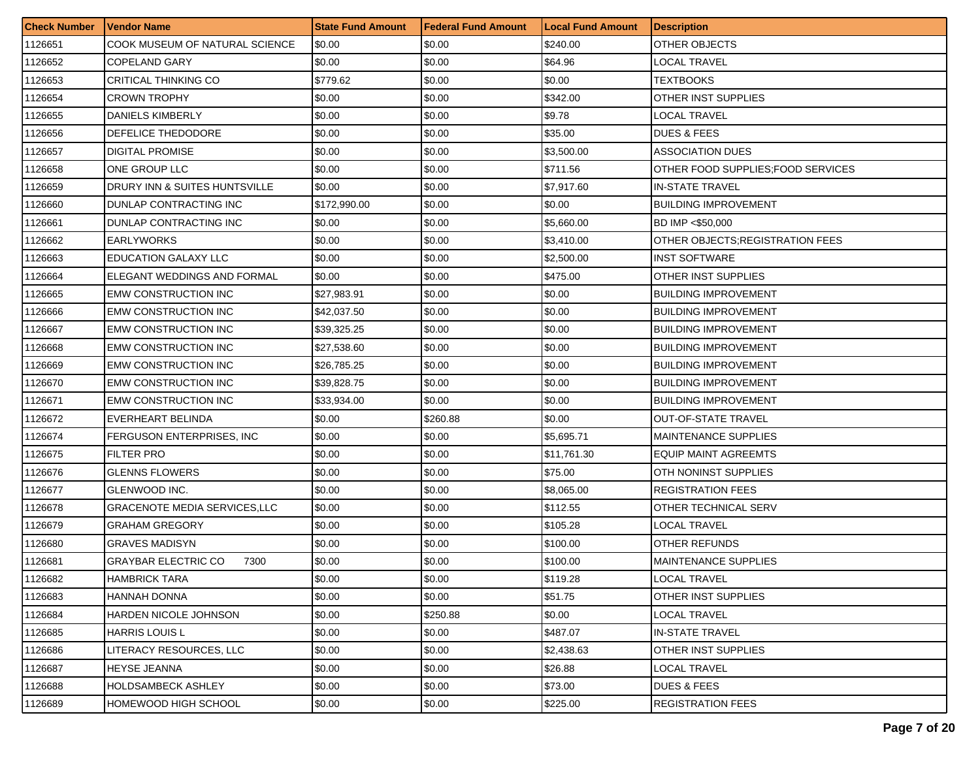| <b>Check Number</b> | Vendor Name                          | <b>State Fund Amount</b> | l Federal Fund Amount | <b>Local Fund Amount</b> | <b>Description</b>                 |
|---------------------|--------------------------------------|--------------------------|-----------------------|--------------------------|------------------------------------|
| 1126651             | COOK MUSEUM OF NATURAL SCIENCE       | \$0.00                   | \$0.00                | \$240.00                 | OTHER OBJECTS                      |
| 1126652             | COPELAND GARY                        | \$0.00                   | \$0.00                | \$64.96                  | LOCAL TRAVEL                       |
| 1126653             | CRITICAL THINKING CO                 | \$779.62                 | \$0.00                | \$0.00                   | TEXTBOOKS                          |
| 1126654             | <b>CROWN TROPHY</b>                  | \$0.00                   | \$0.00                | \$342.00                 | OTHER INST SUPPLIES                |
| 1126655             | DANIELS KIMBERLY                     | \$0.00                   | \$0.00                | \$9.78                   | LOCAL TRAVEL                       |
| 1126656             | DEFELICE THEDODORE                   | \$0.00                   | \$0.00                | \$35.00                  | <b>DUES &amp; FEES</b>             |
| 1126657             | DIGITAL PROMISE                      | \$0.00                   | \$0.00                | \$3,500.00               | <b>ASSOCIATION DUES</b>            |
| 1126658             | ONE GROUP LLC                        | \$0.00                   | \$0.00                | \$711.56                 | OTHER FOOD SUPPLIES: FOOD SERVICES |
| 1126659             | DRURY INN & SUITES HUNTSVILLE        | \$0.00                   | \$0.00                | \$7,917.60               | <b>IN-STATE TRAVEL</b>             |
| 1126660             | DUNLAP CONTRACTING INC               | \$172,990.00             | \$0.00                | \$0.00                   | <b>BUILDING IMPROVEMENT</b>        |
| 1126661             | DUNLAP CONTRACTING INC               | \$0.00                   | \$0.00                | \$5,660.00               | BD IMP <\$50,000                   |
| 1126662             | <b>EARLYWORKS</b>                    | \$0.00                   | \$0.00                | \$3,410.00               | OTHER OBJECTS: REGISTRATION FEES   |
| 1126663             | <b>EDUCATION GALAXY LLC</b>          | \$0.00                   | \$0.00                | \$2,500.00               | <b>INST SOFTWARE</b>               |
| 1126664             | ELEGANT WEDDINGS AND FORMAL          | \$0.00                   | \$0.00                | \$475.00                 | OTHER INST SUPPLIES                |
| 1126665             | EMW CONSTRUCTION INC                 | \$27,983.91              | \$0.00                | \$0.00                   | <b>BUILDING IMPROVEMENT</b>        |
| 1126666             | <b>EMW CONSTRUCTION INC</b>          | \$42,037.50              | \$0.00                | \$0.00                   | <b>BUILDING IMPROVEMENT</b>        |
| 1126667             | <b>EMW CONSTRUCTION INC</b>          | \$39,325.25              | \$0.00                | \$0.00                   | <b>BUILDING IMPROVEMENT</b>        |
| 1126668             | <b>EMW CONSTRUCTION INC</b>          | \$27,538.60              | \$0.00                | \$0.00                   | <b>BUILDING IMPROVEMENT</b>        |
| 1126669             | <b>EMW CONSTRUCTION INC</b>          | \$26,785.25              | \$0.00                | \$0.00                   | <b>BUILDING IMPROVEMENT</b>        |
| 1126670             | EMW CONSTRUCTION INC                 | \$39,828.75              | \$0.00                | \$0.00                   | <b>BUILDING IMPROVEMENT</b>        |
| 1126671             | <b>EMW CONSTRUCTION INC</b>          | \$33,934.00              | \$0.00                | \$0.00                   | <b>BUILDING IMPROVEMENT</b>        |
| 1126672             | EVERHEART BELINDA                    | \$0.00                   | \$260.88              | \$0.00                   | <b>OUT-OF-STATE TRAVEL</b>         |
| 1126674             | FERGUSON ENTERPRISES, INC            | \$0.00                   | \$0.00                | \$5,695.71               | <b>MAINTENANCE SUPPLIES</b>        |
| 1126675             | <b>FILTER PRO</b>                    | \$0.00                   | \$0.00                | \$11,761.30              | <b>EQUIP MAINT AGREEMTS</b>        |
| 1126676             | <b>GLENNS FLOWERS</b>                | \$0.00                   | \$0.00                | \$75.00                  | OTH NONINST SUPPLIES               |
| 1126677             | GLENWOOD INC.                        | \$0.00                   | \$0.00                | \$8,065.00               | <b>REGISTRATION FEES</b>           |
| 1126678             | <b>GRACENOTE MEDIA SERVICES, LLC</b> | \$0.00                   | \$0.00                | \$112.55                 | OTHER TECHNICAL SERV               |
| 1126679             | GRAHAM GREGORY                       | \$0.00                   | \$0.00                | \$105.28                 | LOCAL TRAVEL                       |
| 1126680             | GRAVES MADISYN                       | \$0.00                   | \$0.00                | \$100.00                 | OTHER REFUNDS                      |
| 1126681             | GRAYBAR ELECTRIC CO<br>7300          | \$0.00                   | \$0.00                | \$100.00                 | <b>MAINTENANCE SUPPLIES</b>        |
| 1126682             | <b>HAMBRICK TARA</b>                 | \$0.00                   | \$0.00                | \$119.28                 | <b>LOCAL TRAVEL</b>                |
| 1126683             | HANNAH DONNA                         | \$0.00                   | \$0.00                | \$51.75                  | OTHER INST SUPPLIES                |
| 1126684             | HARDEN NICOLE JOHNSON                | \$0.00                   | \$250.88              | \$0.00                   | LOCAL TRAVEL                       |
| 1126685             | <b>HARRIS LOUIS L</b>                | \$0.00                   | \$0.00                | \$487.07                 | <b>IN-STATE TRAVEL</b>             |
| 1126686             | LITERACY RESOURCES. LLC              | \$0.00                   | \$0.00                | \$2,438.63               | OTHER INST SUPPLIES                |
| 1126687             | HEYSE JEANNA                         | \$0.00                   | \$0.00                | \$26.88                  | LOCAL TRAVEL                       |
| 1126688             | HOLDSAMBECK ASHLEY                   | \$0.00                   | \$0.00                | \$73.00                  | <b>DUES &amp; FEES</b>             |
| 1126689             | HOMEWOOD HIGH SCHOOL                 | \$0.00                   | \$0.00                | \$225.00                 | <b>REGISTRATION FEES</b>           |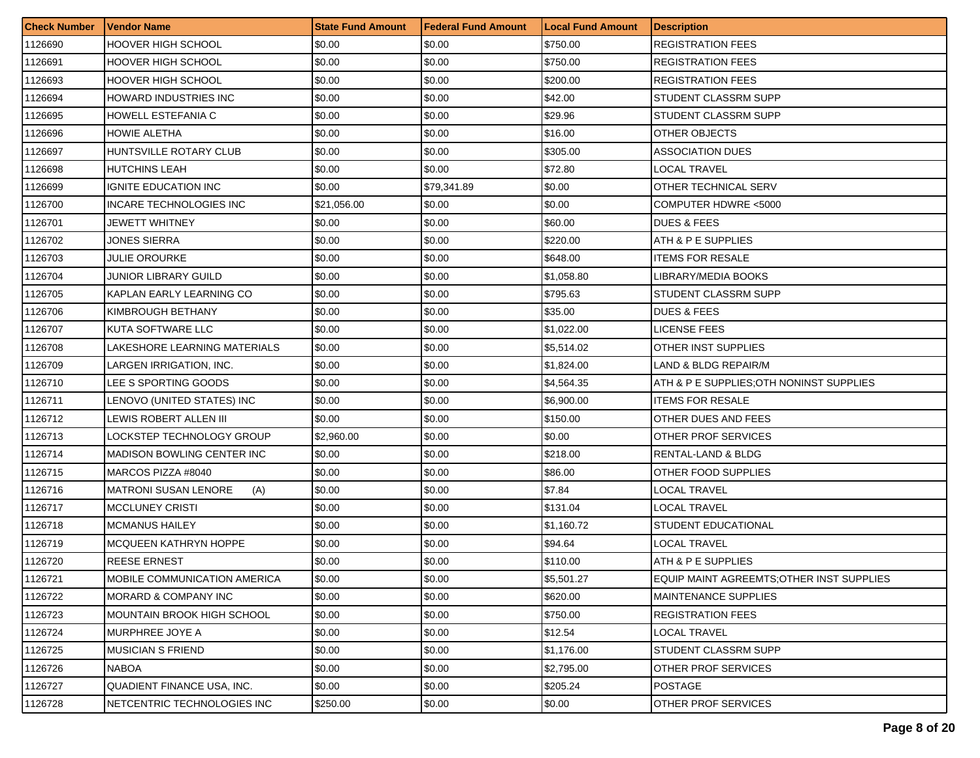| <b>Check Number</b> | <b>Vendor Name</b>                  | <b>State Fund Amount</b> | <b>Federal Fund Amount</b> | <b>Local Fund Amount</b> | <b>Description</b>                        |
|---------------------|-------------------------------------|--------------------------|----------------------------|--------------------------|-------------------------------------------|
| 1126690             | <b>HOOVER HIGH SCHOOL</b>           | \$0.00                   | \$0.00                     | \$750.00                 | <b>REGISTRATION FEES</b>                  |
| 1126691             | <b>HOOVER HIGH SCHOOL</b>           | \$0.00                   | \$0.00                     | \$750.00                 | <b>REGISTRATION FEES</b>                  |
| 1126693             | <b>HOOVER HIGH SCHOOL</b>           | \$0.00                   | \$0.00                     | \$200.00                 | <b>REGISTRATION FEES</b>                  |
| 1126694             | HOWARD INDUSTRIES INC               | \$0.00                   | \$0.00                     | \$42.00                  | STUDENT CLASSRM SUPP                      |
| 1126695             | HOWELL ESTEFANIA C                  | \$0.00                   | \$0.00                     | \$29.96                  | STUDENT CLASSRM SUPP                      |
| 1126696             | <b>HOWIE ALETHA</b>                 | \$0.00                   | \$0.00                     | \$16.00                  | OTHER OBJECTS                             |
| 1126697             | HUNTSVILLE ROTARY CLUB              | \$0.00                   | \$0.00                     | \$305.00                 | <b>ASSOCIATION DUES</b>                   |
| 1126698             | <b>HUTCHINS LEAH</b>                | \$0.00                   | \$0.00                     | \$72.80                  | LOCAL TRAVEL                              |
| 1126699             | <b>IGNITE EDUCATION INC</b>         | \$0.00                   | \$79,341.89                | \$0.00                   | OTHER TECHNICAL SERV                      |
| 1126700             | INCARE TECHNOLOGIES INC             | \$21,056.00              | \$0.00                     | \$0.00                   | COMPUTER HDWRE <5000                      |
| 1126701             | JEWETT WHITNEY                      | \$0.00                   | \$0.00                     | \$60.00                  | <b>DUES &amp; FEES</b>                    |
| 1126702             | JONES SIERRA                        | \$0.00                   | \$0.00                     | \$220.00                 | ATH & P E SUPPLIES                        |
| 1126703             | <b>JULIE OROURKE</b>                | \$0.00                   | \$0.00                     | \$648.00                 | <b>ITEMS FOR RESALE</b>                   |
| 1126704             | JUNIOR LIBRARY GUILD                | \$0.00                   | \$0.00                     | \$1,058.80               | LIBRARY/MEDIA BOOKS                       |
| 1126705             | KAPLAN EARLY LEARNING CO            | \$0.00                   | \$0.00                     | \$795.63                 | STUDENT CLASSRM SUPP                      |
| 1126706             | KIMBROUGH BETHANY                   | \$0.00                   | \$0.00                     | \$35.00                  | <b>DUES &amp; FEES</b>                    |
| 1126707             | KUTA SOFTWARE LLC                   | \$0.00                   | \$0.00                     | \$1,022.00               | <b>LICENSE FEES</b>                       |
| 1126708             | LAKESHORE LEARNING MATERIALS        | \$0.00                   | \$0.00                     | \$5,514.02               | OTHER INST SUPPLIES                       |
| 1126709             | LARGEN IRRIGATION, INC.             | \$0.00                   | \$0.00                     | \$1,824.00               | LAND & BLDG REPAIR/M                      |
| 1126710             | LEE S SPORTING GOODS                | \$0.00                   | \$0.00                     | \$4,564.35               | ATH & P E SUPPLIES; OTH NONINST SUPPLIES  |
| 1126711             | LENOVO (UNITED STATES) INC          | \$0.00                   | \$0.00                     | \$6,900.00               | <b>ITEMS FOR RESALE</b>                   |
| 1126712             | LEWIS ROBERT ALLEN III              | \$0.00                   | \$0.00                     | \$150.00                 | OTHER DUES AND FEES                       |
| 1126713             | LOCKSTEP TECHNOLOGY GROUP           | \$2,960.00               | \$0.00                     | \$0.00                   | OTHER PROF SERVICES                       |
| 1126714             | MADISON BOWLING CENTER INC          | \$0.00                   | \$0.00                     | \$218.00                 | RENTAL-LAND & BLDG                        |
| 1126715             | MARCOS PIZZA #8040                  | \$0.00                   | \$0.00                     | \$86.00                  | OTHER FOOD SUPPLIES                       |
| 1126716             | <b>MATRONI SUSAN LENORE</b><br>(A)  | \$0.00                   | \$0.00                     | \$7.84                   | <b>LOCAL TRAVEL</b>                       |
| 1126717             | <b>MCCLUNEY CRISTI</b>              | \$0.00                   | \$0.00                     | \$131.04                 | LOCAL TRAVEL                              |
| 1126718             | <b>MCMANUS HAILEY</b>               | \$0.00                   | \$0.00                     | \$1,160.72               | <b>STUDENT EDUCATIONAL</b>                |
| 1126719             | MCQUEEN KATHRYN HOPPE               | \$0.00                   | \$0.00                     | \$94.64                  | LOCAL TRAVEL                              |
| 1126720             | <b>REESE ERNEST</b>                 | \$0.00                   | \$0.00                     | \$110.00                 | ATH & P E SUPPLIES                        |
| 1126721             | <b>MOBILE COMMUNICATION AMERICA</b> | \$0.00                   | \$0.00                     | \$5,501.27               | EQUIP MAINT AGREEMTS; OTHER INST SUPPLIES |
| 1126722             | MORARD & COMPANY INC                | \$0.00                   | \$0.00                     | \$620.00                 | <b>MAINTENANCE SUPPLIES</b>               |
| 1126723             | <b>MOUNTAIN BROOK HIGH SCHOOL</b>   | \$0.00                   | \$0.00                     | \$750.00                 | <b>REGISTRATION FEES</b>                  |
| 1126724             | MURPHREE JOYE A                     | \$0.00                   | \$0.00                     | \$12.54                  | LOCAL TRAVEL                              |
| 1126725             | <b>MUSICIAN S FRIEND</b>            | \$0.00                   | \$0.00                     | \$1,176.00               | STUDENT CLASSRM SUPP                      |
| 1126726             | <b>NABOA</b>                        | \$0.00                   | \$0.00                     | \$2,795.00               | <b>OTHER PROF SERVICES</b>                |
| 1126727             | QUADIENT FINANCE USA, INC.          | \$0.00                   | \$0.00                     | \$205.24                 | <b>POSTAGE</b>                            |
| 1126728             | NETCENTRIC TECHNOLOGIES INC         | \$250.00                 | \$0.00                     | \$0.00                   | <b>OTHER PROF SERVICES</b>                |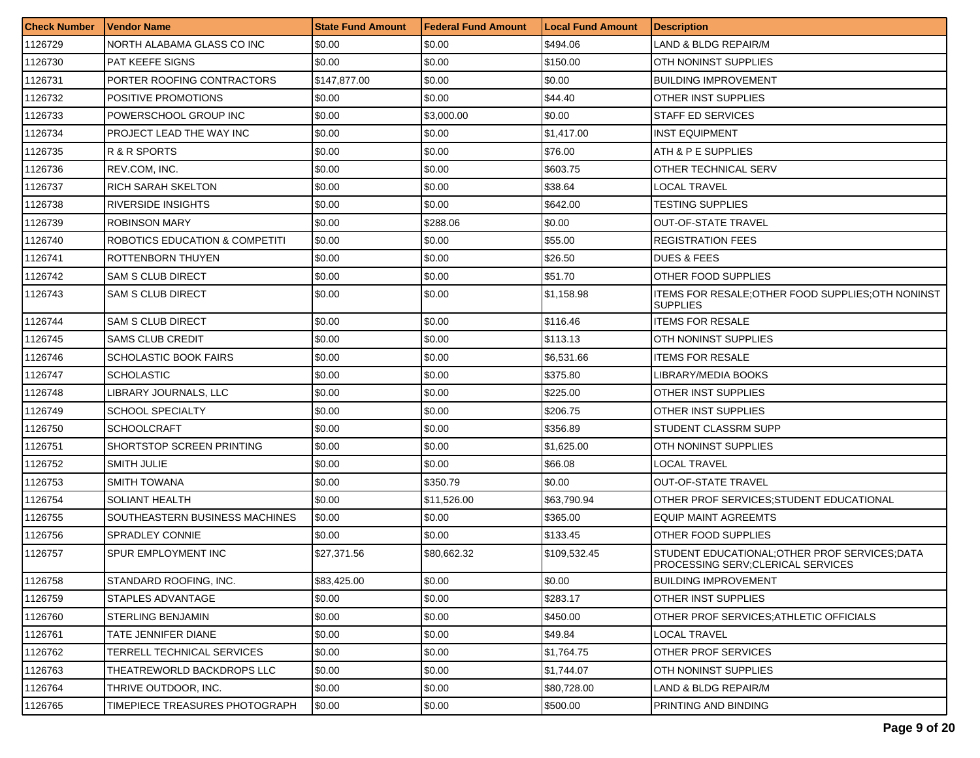| <b>Check Number</b> | <b>Vendor Name</b>             | <b>State Fund Amount</b> | Federal Fund Amount | <b>Local Fund Amount</b> | <b>Description</b>                                                                   |
|---------------------|--------------------------------|--------------------------|---------------------|--------------------------|--------------------------------------------------------------------------------------|
| 1126729             | NORTH ALABAMA GLASS CO INC     | \$0.00                   | \$0.00              | \$494.06                 | LAND & BLDG REPAIR/M                                                                 |
| 1126730             | <b>PAT KEEFE SIGNS</b>         | \$0.00                   | \$0.00              | \$150.00                 | OTH NONINST SUPPLIES                                                                 |
| 1126731             | PORTER ROOFING CONTRACTORS     | \$147,877.00             | \$0.00              | \$0.00                   | <b>BUILDING IMPROVEMENT</b>                                                          |
| 1126732             | POSITIVE PROMOTIONS            | \$0.00                   | \$0.00              | \$44.40                  | OTHER INST SUPPLIES                                                                  |
| 1126733             | POWERSCHOOL GROUP INC          | \$0.00                   | \$3,000.00          | \$0.00                   | STAFF ED SERVICES                                                                    |
| 1126734             | PROJECT LEAD THE WAY INC       | \$0.00                   | \$0.00              | \$1,417.00               | <b>INST EQUIPMENT</b>                                                                |
| 1126735             | R & R SPORTS                   | \$0.00                   | \$0.00              | \$76.00                  | ATH & P E SUPPLIES                                                                   |
| 1126736             | REV.COM, INC.                  | \$0.00                   | \$0.00              | \$603.75                 | OTHER TECHNICAL SERV                                                                 |
| 1126737             | <b>RICH SARAH SKELTON</b>      | \$0.00                   | \$0.00              | \$38.64                  | LOCAL TRAVEL                                                                         |
| 1126738             | <b>RIVERSIDE INSIGHTS</b>      | \$0.00                   | \$0.00              | \$642.00                 | TESTING SUPPLIES                                                                     |
| 1126739             | <b>ROBINSON MARY</b>           | \$0.00                   | \$288.06            | \$0.00                   | <b>OUT-OF-STATE TRAVEL</b>                                                           |
| 1126740             | ROBOTICS EDUCATION & COMPETITI | \$0.00                   | \$0.00              | \$55.00                  | <b>REGISTRATION FEES</b>                                                             |
| 1126741             | ROTTENBORN THUYEN              | \$0.00                   | \$0.00              | \$26.50                  | <b>DUES &amp; FEES</b>                                                               |
| 1126742             | <b>SAM S CLUB DIRECT</b>       | \$0.00                   | \$0.00              | \$51.70                  | OTHER FOOD SUPPLIES                                                                  |
| 1126743             | SAM S CLUB DIRECT              | \$0.00                   | \$0.00              | \$1,158.98               | ITEMS FOR RESALE;OTHER FOOD SUPPLIES;OTH NONINST<br><b>SUPPLIES</b>                  |
| 1126744             | <b>SAM S CLUB DIRECT</b>       | \$0.00                   | \$0.00              | \$116.46                 | <b>ITEMS FOR RESALE</b>                                                              |
| 1126745             | <b>SAMS CLUB CREDIT</b>        | \$0.00                   | \$0.00              | \$113.13                 | OTH NONINST SUPPLIES                                                                 |
| 1126746             | <b>SCHOLASTIC BOOK FAIRS</b>   | \$0.00                   | \$0.00              | \$6,531.66               | <b>ITEMS FOR RESALE</b>                                                              |
| 1126747             | SCHOLASTIC                     | \$0.00                   | \$0.00              | \$375.80                 | LIBRARY/MEDIA BOOKS                                                                  |
| 1126748             | LIBRARY JOURNALS, LLC          | \$0.00                   | \$0.00              | \$225.00                 | OTHER INST SUPPLIES                                                                  |
| 1126749             | <b>SCHOOL SPECIALTY</b>        | \$0.00                   | \$0.00              | \$206.75                 | OTHER INST SUPPLIES                                                                  |
| 1126750             | SCHOOLCRAFT                    | \$0.00                   | \$0.00              | \$356.89                 | STUDENT CLASSRM SUPP                                                                 |
| 1126751             | SHORTSTOP SCREEN PRINTING      | \$0.00                   | \$0.00              | \$1,625.00               | OTH NONINST SUPPLIES                                                                 |
| 1126752             | <b>SMITH JULIE</b>             | \$0.00                   | \$0.00              | \$66.08                  | LOCAL TRAVEL                                                                         |
| 1126753             | SMITH TOWANA                   | \$0.00                   | \$350.79            | \$0.00                   | <b>OUT-OF-STATE TRAVEL</b>                                                           |
| 1126754             | SOLIANT HEALTH                 | \$0.00                   | \$11,526.00         | \$63,790.94              | OTHER PROF SERVICES:STUDENT EDUCATIONAL                                              |
| 1126755             | SOUTHEASTERN BUSINESS MACHINES | \$0.00                   | \$0.00              | \$365.00                 | EQUIP MAINT AGREEMTS                                                                 |
| 1126756             | <b>SPRADLEY CONNIE</b>         | \$0.00                   | \$0.00              | \$133.45                 | OTHER FOOD SUPPLIES                                                                  |
| 1126757             | SPUR EMPLOYMENT INC            | \$27,371.56              | \$80,662.32         | \$109,532.45             | STUDENT EDUCATIONAL; OTHER PROF SERVICES; DATA<br>PROCESSING SERV; CLERICAL SERVICES |
| 1126758             | STANDARD ROOFING, INC.         | \$83,425.00              | \$0.00              | \$0.00                   | <b>BUILDING IMPROVEMENT</b>                                                          |
| 1126759             | STAPLES ADVANTAGE              | \$0.00                   | \$0.00              | \$283.17                 | OTHER INST SUPPLIES                                                                  |
| 1126760             | STERLING BENJAMIN              | \$0.00                   | \$0.00              | \$450.00                 | OTHER PROF SERVICES; ATHLETIC OFFICIALS                                              |
| 1126761             | TATE JENNIFER DIANE            | \$0.00                   | \$0.00              | \$49.84                  | LOCAL TRAVEL                                                                         |
| 1126762             | TERRELL TECHNICAL SERVICES     | \$0.00                   | \$0.00              | \$1,764.75               | OTHER PROF SERVICES                                                                  |
| 1126763             | THEATREWORLD BACKDROPS LLC     | \$0.00                   | \$0.00              | \$1,744.07               | OTH NONINST SUPPLIES                                                                 |
| 1126764             | THRIVE OUTDOOR, INC.           | \$0.00                   | \$0.00              | \$80,728.00              | LAND & BLDG REPAIR/M                                                                 |
| 1126765             | TIMEPIECE TREASURES PHOTOGRAPH | \$0.00                   | \$0.00              | \$500.00                 | PRINTING AND BINDING                                                                 |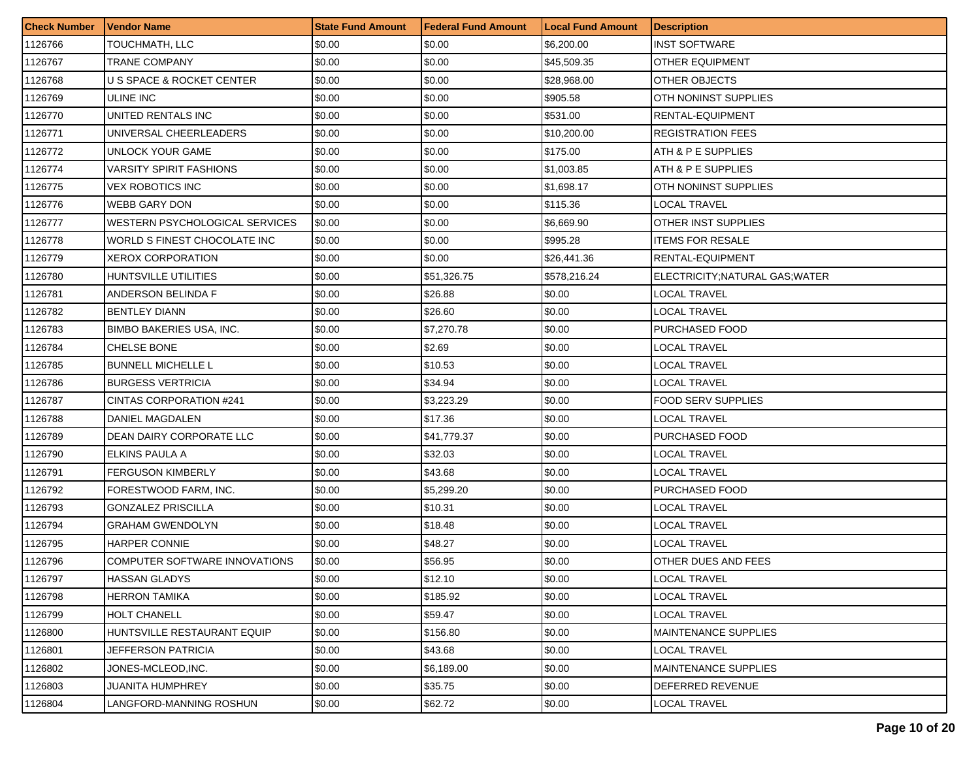| <b>Check Number</b> | Vendor Name                     | <b>State Fund Amount</b> | <b>Federal Fund Amount</b> | <b>Local Fund Amount</b> | <b>Description</b>            |
|---------------------|---------------------------------|--------------------------|----------------------------|--------------------------|-------------------------------|
| 1126766             | TOUCHMATH, LLC                  | \$0.00                   | \$0.00                     | \$6,200.00               | <b>INST SOFTWARE</b>          |
| 1126767             | TRANE COMPANY                   | \$0.00                   | \$0.00                     | \$45,509.35              | <b>OTHER EQUIPMENT</b>        |
| 1126768             | U S SPACE & ROCKET CENTER       | \$0.00                   | \$0.00                     | \$28,968.00              | OTHER OBJECTS                 |
| 1126769             | <b>ULINE INC</b>                | \$0.00                   | \$0.00                     | \$905.58                 | OTH NONINST SUPPLIES          |
| 1126770             | UNITED RENTALS INC              | \$0.00                   | \$0.00                     | \$531.00                 | RENTAL-EQUIPMENT              |
| 1126771             | UNIVERSAL CHEERLEADERS          | \$0.00                   | \$0.00                     | \$10,200.00              | <b>REGISTRATION FEES</b>      |
| 1126772             | UNLOCK YOUR GAME                | \$0.00                   | \$0.00                     | \$175.00                 | ATH & P E SUPPLIES            |
| 1126774             | <b>VARSITY SPIRIT FASHIONS</b>  | \$0.00                   | \$0.00                     | \$1,003.85               | ATH & P E SUPPLIES            |
| 1126775             | <b>VEX ROBOTICS INC</b>         | \$0.00                   | \$0.00                     | \$1,698.17               | OTH NONINST SUPPLIES          |
| 1126776             | <b>WEBB GARY DON</b>            | \$0.00                   | \$0.00                     | \$115.36                 | LOCAL TRAVEL                  |
| 1126777             | WESTERN PSYCHOLOGICAL SERVICES  | \$0.00                   | \$0.00                     | \$6,669.90               | <b>OTHER INST SUPPLIES</b>    |
| 1126778             | WORLD S FINEST CHOCOLATE INC    | \$0.00                   | \$0.00                     | \$995.28                 | <b>ITEMS FOR RESALE</b>       |
| 1126779             | <b>XEROX CORPORATION</b>        | \$0.00                   | \$0.00                     | \$26,441.36              | RENTAL-EQUIPMENT              |
| 1126780             | HUNTSVILLE UTILITIES            | \$0.00                   | \$51,326.75                | \$578,216.24             | ELECTRICITY;NATURAL GAS;WATER |
| 1126781             | ANDERSON BELINDA F              | \$0.00                   | \$26.88                    | \$0.00                   | LOCAL TRAVEL                  |
| 1126782             | <b>BENTLEY DIANN</b>            | \$0.00                   | \$26.60                    | \$0.00                   | LOCAL TRAVEL                  |
| 1126783             | <b>BIMBO BAKERIES USA, INC.</b> | \$0.00                   | \$7,270.78                 | \$0.00                   | PURCHASED FOOD                |
| 1126784             | <b>CHELSE BONE</b>              | \$0.00                   | \$2.69                     | \$0.00                   | LOCAL TRAVEL                  |
| 1126785             | <b>BUNNELL MICHELLE L</b>       | \$0.00                   | \$10.53                    | \$0.00                   | LOCAL TRAVEL                  |
| 1126786             | <b>BURGESS VERTRICIA</b>        | \$0.00                   | \$34.94                    | \$0.00                   | LOCAL TRAVEL                  |
| 1126787             | CINTAS CORPORATION #241         | \$0.00                   | \$3,223.29                 | \$0.00                   | FOOD SERV SUPPLIES            |
| 1126788             | DANIEL MAGDALEN                 | \$0.00                   | \$17.36                    | \$0.00                   | LOCAL TRAVEL                  |
| 1126789             | DEAN DAIRY CORPORATE LLC        | \$0.00                   | \$41,779.37                | \$0.00                   | PURCHASED FOOD                |
| 1126790             | ELKINS PAULA A                  | \$0.00                   | \$32.03                    | \$0.00                   | LOCAL TRAVEL                  |
| 1126791             | <b>FERGUSON KIMBERLY</b>        | \$0.00                   | \$43.68                    | \$0.00                   | LOCAL TRAVEL                  |
| 1126792             | FORESTWOOD FARM, INC.           | \$0.00                   | \$5,299.20                 | \$0.00                   | PURCHASED FOOD                |
| 1126793             | <b>GONZALEZ PRISCILLA</b>       | \$0.00                   | \$10.31                    | \$0.00                   | LOCAL TRAVEL                  |
| 1126794             | <b>GRAHAM GWENDOLYN</b>         | \$0.00                   | \$18.48                    | \$0.00                   | LOCAL TRAVEL                  |
| 1126795             | <b>HARPER CONNIE</b>            | \$0.00                   | \$48.27                    | \$0.00                   | LOCAL TRAVEL                  |
| 1126796             | COMPUTER SOFTWARE INNOVATIONS   | \$0.00                   | \$56.95                    | \$0.00                   | OTHER DUES AND FEES           |
| 1126797             | HASSAN GLADYS                   | \$0.00                   | \$12.10                    | \$0.00                   | LOCAL TRAVEL                  |
| 1126798             | <b>HERRON TAMIKA</b>            | \$0.00                   | \$185.92                   | \$0.00                   | <b>LOCAL TRAVEL</b>           |
| 1126799             | <b>HOLT CHANELL</b>             | \$0.00                   | \$59.47                    | \$0.00                   | LOCAL TRAVEL                  |
| 1126800             | HUNTSVILLE RESTAURANT EQUIP     | \$0.00                   | \$156.80                   | \$0.00                   | <b>MAINTENANCE SUPPLIES</b>   |
| 1126801             | JEFFERSON PATRICIA              | \$0.00                   | \$43.68                    | \$0.00                   | LOCAL TRAVEL                  |
| 1126802             | JONES-MCLEOD,INC.               | \$0.00                   | \$6.189.00                 | \$0.00                   | <b>MAINTENANCE SUPPLIES</b>   |
| 1126803             | JUANITA HUMPHREY                | \$0.00                   | \$35.75                    | \$0.00                   | DEFERRED REVENUE              |
| 1126804             | LANGFORD-MANNING ROSHUN         | \$0.00                   | \$62.72                    | \$0.00                   | <b>LOCAL TRAVEL</b>           |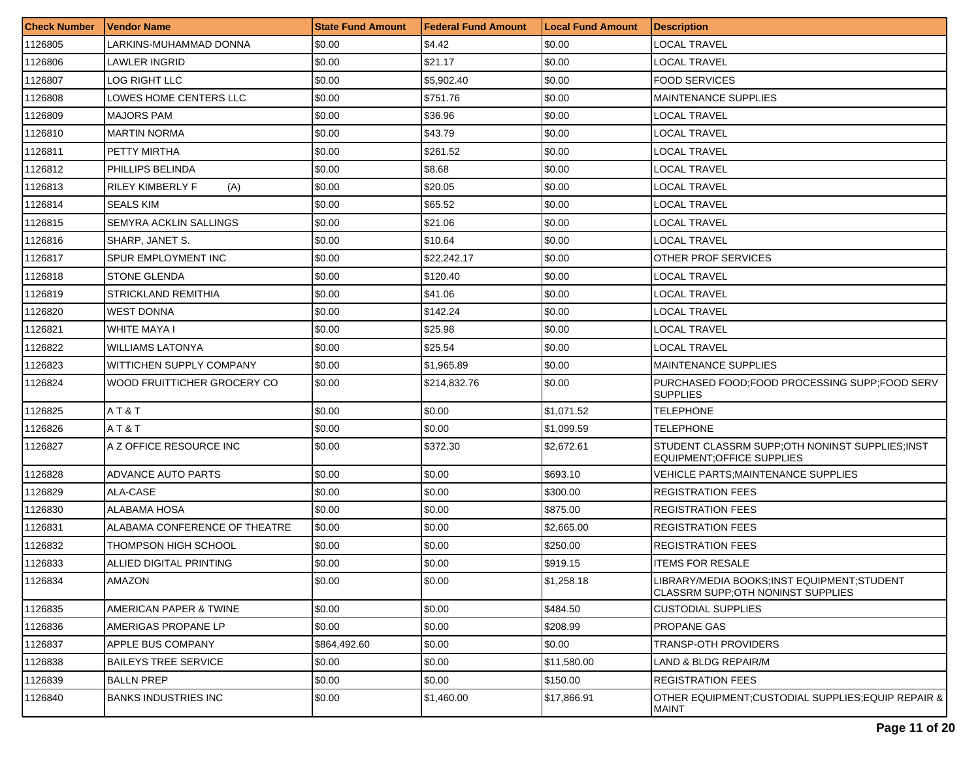| <b>Check Number</b> | <b>Vendor Name</b>            | <b>State Fund Amount</b> | Federal Fund Amount | <b>Local Fund Amount</b> | <b>Description</b>                                                               |
|---------------------|-------------------------------|--------------------------|---------------------|--------------------------|----------------------------------------------------------------------------------|
| 1126805             | LARKINS-MUHAMMAD DONNA        | \$0.00                   | \$4.42              | \$0.00                   | LOCAL TRAVEL                                                                     |
| 1126806             | LAWLER INGRID                 | \$0.00                   | \$21.17             | \$0.00                   | LOCAL TRAVEL                                                                     |
| 1126807             | LOG RIGHT LLC                 | \$0.00                   | \$5,902.40          | \$0.00                   | <b>FOOD SERVICES</b>                                                             |
| 1126808             | LOWES HOME CENTERS LLC        | \$0.00                   | \$751.76            | \$0.00                   | MAINTENANCE SUPPLIES                                                             |
| 1126809             | <b>MAJORS PAM</b>             | \$0.00                   | \$36.96             | \$0.00                   | LOCAL TRAVEL                                                                     |
| 1126810             | <b>MARTIN NORMA</b>           | \$0.00                   | \$43.79             | \$0.00                   | LOCAL TRAVEL                                                                     |
| 1126811             | PETTY MIRTHA                  | \$0.00                   | \$261.52            | \$0.00                   | LOCAL TRAVEL                                                                     |
| 1126812             | PHILLIPS BELINDA              | \$0.00                   | \$8.68              | \$0.00                   | LOCAL TRAVEL                                                                     |
| 1126813             | RILEY KIMBERLY F<br>(A)       | \$0.00                   | \$20.05             | \$0.00                   | LOCAL TRAVEL                                                                     |
| 1126814             | SEALS KIM                     | \$0.00                   | \$65.52             | \$0.00                   | LOCAL TRAVEL                                                                     |
| 1126815             | SEMYRA ACKLIN SALLINGS        | \$0.00                   | \$21.06             | \$0.00                   | LOCAL TRAVEL                                                                     |
| 1126816             | SHARP, JANET S.               | \$0.00                   | \$10.64             | \$0.00                   | LOCAL TRAVEL                                                                     |
| 1126817             | SPUR EMPLOYMENT INC           | \$0.00                   | \$22,242.17         | \$0.00                   | OTHER PROF SERVICES                                                              |
| 1126818             | <b>STONE GLENDA</b>           | \$0.00                   | \$120.40            | \$0.00                   | LOCAL TRAVEL                                                                     |
| 1126819             | STRICKLAND REMITHIA           | \$0.00                   | \$41.06             | \$0.00                   | LOCAL TRAVEL                                                                     |
| 1126820             | <b>WEST DONNA</b>             | \$0.00                   | \$142.24            | \$0.00                   | LOCAL TRAVEL                                                                     |
| 1126821             | WHITE MAYA I                  | \$0.00                   | \$25.98             | \$0.00                   | LOCAL TRAVEL                                                                     |
| 1126822             | <b>WILLIAMS LATONYA</b>       | \$0.00                   | \$25.54             | \$0.00                   | <b>LOCAL TRAVEL</b>                                                              |
| 1126823             | WITTICHEN SUPPLY COMPANY      | \$0.00                   | \$1,965.89          | \$0.00                   | MAINTENANCE SUPPLIES                                                             |
| 1126824             | WOOD FRUITTICHER GROCERY CO   | \$0.00                   | \$214,832.76        | \$0.00                   | PURCHASED FOOD; FOOD PROCESSING SUPP; FOOD SERV<br><b>SUPPLIES</b>               |
| 1126825             | AT&T                          | \$0.00                   | \$0.00              | \$1,071.52               | <b>TELEPHONE</b>                                                                 |
| 1126826             | AT&T                          | \$0.00                   | \$0.00              | \$1,099.59               | <b>TELEPHONE</b>                                                                 |
| 1126827             | A Z OFFICE RESOURCE INC       | \$0.00                   | \$372.30            | \$2,672.61               | STUDENT CLASSRM SUPP;OTH NONINST SUPPLIES;INST<br>EQUIPMENT; OF FICE SUPPLIES    |
| 1126828             | ADVANCE AUTO PARTS            | \$0.00                   | \$0.00              | \$693.10                 | <b>VEHICLE PARTS; MAINTENANCE SUPPLIES</b>                                       |
| 1126829             | ALA-CASE                      | \$0.00                   | \$0.00              | \$300.00                 | <b>REGISTRATION FEES</b>                                                         |
| 1126830             | ALABAMA HOSA                  | \$0.00                   | \$0.00              | \$875.00                 | <b>REGISTRATION FEES</b>                                                         |
| 1126831             | ALABAMA CONFERENCE OF THEATRE | \$0.00                   | \$0.00              | \$2,665.00               | <b>REGISTRATION FEES</b>                                                         |
| 1126832             | THOMPSON HIGH SCHOOL          | \$0.00                   | \$0.00              | \$250.00                 | REGISTRATION FEES                                                                |
| 1126833             | ALLIED DIGITAL PRINTING       | \$0.00                   | \$0.00              | \$919.15                 | <b>ITEMS FOR RESALE</b>                                                          |
| 1126834             | <b>AMAZON</b>                 | \$0.00                   | \$0.00              | \$1,258.18               | LIBRARY/MEDIA BOOKS;INST EQUIPMENT;STUDENT<br>CLASSRM SUPP; OTH NONINST SUPPLIES |
| 1126835             | AMERICAN PAPER & TWINE        | \$0.00                   | \$0.00              | \$484.50                 | <b>CUSTODIAL SUPPLIES</b>                                                        |
| 1126836             | AMERIGAS PROPANE LP           | \$0.00                   | \$0.00              | \$208.99                 | PROPANE GAS                                                                      |
| 1126837             | APPLE BUS COMPANY             | \$864,492.60             | \$0.00              | \$0.00                   | TRANSP-OTH PROVIDERS                                                             |
| 1126838             | <b>BAILEYS TREE SERVICE</b>   | \$0.00                   | \$0.00              | \$11,580.00              | LAND & BLDG REPAIR/M                                                             |
| 1126839             | <b>BALLN PREP</b>             | \$0.00                   | \$0.00              | \$150.00                 | <b>REGISTRATION FEES</b>                                                         |
| 1126840             | <b>BANKS INDUSTRIES INC</b>   | \$0.00                   | \$1,460.00          | \$17,866.91              | OTHER EQUIPMENT:CUSTODIAL SUPPLIES:EQUIP REPAIR &<br><b>MAINT</b>                |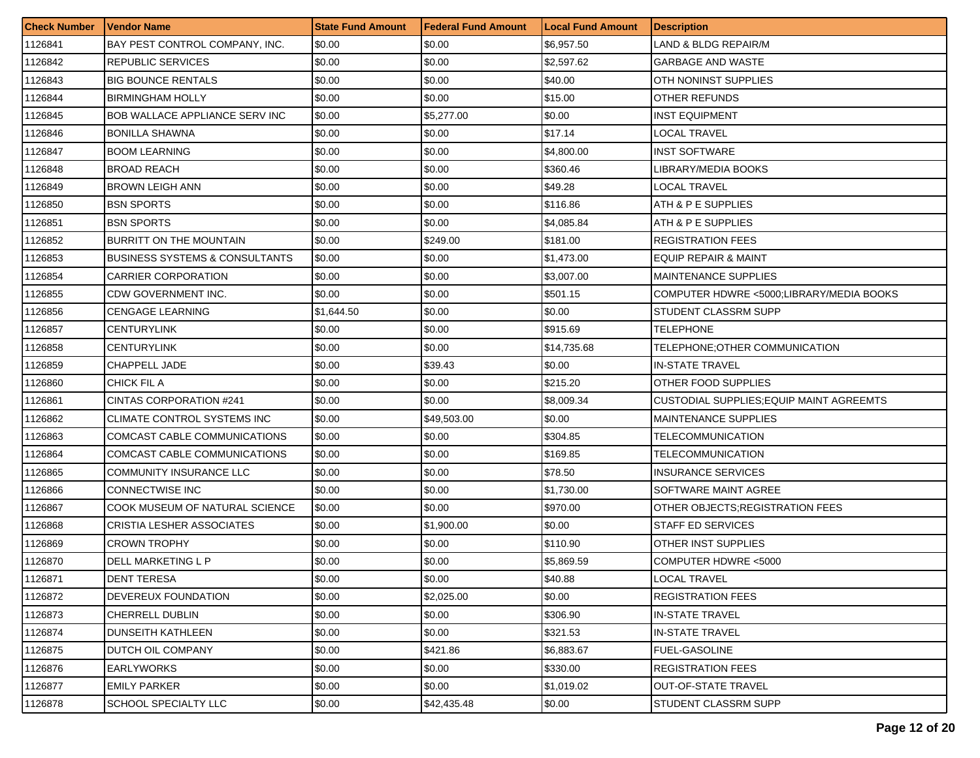| <b>Check Number</b> | Vendor Name                               | <b>State Fund Amount</b> | l Federal Fund Amount | <b>Local Fund Amount</b> | <b>Description</b>                              |
|---------------------|-------------------------------------------|--------------------------|-----------------------|--------------------------|-------------------------------------------------|
| 1126841             | BAY PEST CONTROL COMPANY, INC.            | \$0.00                   | \$0.00                | \$6,957.50               | LAND & BLDG REPAIR/M                            |
| 1126842             | <b>REPUBLIC SERVICES</b>                  | \$0.00                   | \$0.00                | \$2,597.62               | <b>GARBAGE AND WASTE</b>                        |
| 1126843             | <b>BIG BOUNCE RENTALS</b>                 | \$0.00                   | \$0.00                | \$40.00                  | OTH NONINST SUPPLIES                            |
| 1126844             | <b>BIRMINGHAM HOLLY</b>                   | \$0.00                   | \$0.00                | \$15.00                  | OTHER REFUNDS                                   |
| 1126845             | <b>BOB WALLACE APPLIANCE SERV INC</b>     | \$0.00                   | \$5,277.00            | \$0.00                   | <b>INST EQUIPMENT</b>                           |
| 1126846             | <b>BONILLA SHAWNA</b>                     | \$0.00                   | \$0.00                | \$17.14                  | LOCAL TRAVEL                                    |
| 1126847             | <b>BOOM LEARNING</b>                      | \$0.00                   | \$0.00                | \$4,800.00               | INST SOFTWARE                                   |
| 1126848             | <b>BROAD REACH</b>                        | \$0.00                   | \$0.00                | \$360.46                 | LIBRARY/MEDIA BOOKS                             |
| 1126849             | <b>BROWN LEIGH ANN</b>                    | \$0.00                   | \$0.00                | \$49.28                  | <b>LOCAL TRAVEL</b>                             |
| 1126850             | <b>BSN SPORTS</b>                         | \$0.00                   | \$0.00                | \$116.86                 | ATH & P E SUPPLIES                              |
| 1126851             | <b>BSN SPORTS</b>                         | \$0.00                   | \$0.00                | \$4,085.84               | ATH & P E SUPPLIES                              |
| 1126852             | BURRITT ON THE MOUNTAIN                   | \$0.00                   | \$249.00              | \$181.00                 | <b>REGISTRATION FEES</b>                        |
| 1126853             | <b>BUSINESS SYSTEMS &amp; CONSULTANTS</b> | \$0.00                   | \$0.00                | \$1,473.00               | EQUIP REPAIR & MAINT                            |
| 1126854             | <b>CARRIER CORPORATION</b>                | \$0.00                   | \$0.00                | \$3,007.00               | <b>MAINTENANCE SUPPLIES</b>                     |
| 1126855             | CDW GOVERNMENT INC.                       | \$0.00                   | \$0.00                | \$501.15                 | COMPUTER HDWRE <5000:LIBRARY/MEDIA BOOKS        |
| 1126856             | CENGAGE LEARNING                          | \$1,644.50               | \$0.00                | \$0.00                   | STUDENT CLASSRM SUPP                            |
| 1126857             | CENTURYLINK                               | \$0.00                   | \$0.00                | \$915.69                 | TELEPHONE                                       |
| 1126858             | CENTURYLINK                               | \$0.00                   | \$0.00                | \$14,735.68              | TELEPHONE:OTHER COMMUNICATION                   |
| 1126859             | <b>CHAPPELL JADE</b>                      | \$0.00                   | \$39.43               | \$0.00                   | <b>IN-STATE TRAVEL</b>                          |
| 1126860             | CHICK FIL A                               | \$0.00                   | \$0.00                | \$215.20                 | OTHER FOOD SUPPLIES                             |
| 1126861             | CINTAS CORPORATION #241                   | \$0.00                   | \$0.00                | \$8,009.34               | <b>CUSTODIAL SUPPLIES; EQUIP MAINT AGREEMTS</b> |
| 1126862             | CLIMATE CONTROL SYSTEMS INC               | \$0.00                   | \$49,503.00           | \$0.00                   | <b>MAINTENANCE SUPPLIES</b>                     |
| 1126863             | COMCAST CABLE COMMUNICATIONS              | \$0.00                   | \$0.00                | \$304.85                 | TELECOMMUNICATION                               |
| 1126864             | COMCAST CABLE COMMUNICATIONS              | \$0.00                   | \$0.00                | \$169.85                 | TELECOMMUNICATION                               |
| 1126865             | COMMUNITY INSURANCE LLC                   | \$0.00                   | \$0.00                | \$78.50                  | <b>INSURANCE SERVICES</b>                       |
| 1126866             | CONNECTWISE INC                           | \$0.00                   | \$0.00                | \$1,730.00               | SOFTWARE MAINT AGREE                            |
| 1126867             | COOK MUSEUM OF NATURAL SCIENCE            | \$0.00                   | \$0.00                | \$970.00                 | OTHER OBJECTS; REGISTRATION FEES                |
| 1126868             | CRISTIA LESHER ASSOCIATES                 | \$0.00                   | \$1,900.00            | \$0.00                   | STAFF ED SERVICES                               |
| 1126869             | <b>CROWN TROPHY</b>                       | \$0.00                   | \$0.00                | \$110.90                 | OTHER INST SUPPLIES                             |
| 1126870             | DELL MARKETING L P                        | \$0.00                   | \$0.00                | \$5,869.59               | COMPUTER HDWRE <5000                            |
| 1126871             | <b>DENT TERESA</b>                        | \$0.00                   | \$0.00                | \$40.88                  | <b>LOCAL TRAVEL</b>                             |
| 1126872             | DEVEREUX FOUNDATION                       | \$0.00                   | \$2,025.00            | \$0.00                   | <b>REGISTRATION FEES</b>                        |
| 1126873             | CHERRELL DUBLIN                           | \$0.00                   | \$0.00                | \$306.90                 | <b>IN-STATE TRAVEL</b>                          |
| 1126874             | DUNSEITH KATHLEEN                         | \$0.00                   | \$0.00                | \$321.53                 | <b>IN-STATE TRAVEL</b>                          |
| 1126875             | DUTCH OIL COMPANY                         | \$0.00                   | \$421.86              | \$6,883.67               | <b>FUEL-GASOLINE</b>                            |
| 1126876             | <b>EARLYWORKS</b>                         | \$0.00                   | \$0.00                | \$330.00                 | <b>REGISTRATION FEES</b>                        |
| 1126877             | <b>EMILY PARKER</b>                       | \$0.00                   | \$0.00                | \$1,019.02               | <b>OUT-OF-STATE TRAVEL</b>                      |
| 1126878             | SCHOOL SPECIALTY LLC                      | \$0.00                   | \$42,435.48           | \$0.00                   | <b>STUDENT CLASSRM SUPP</b>                     |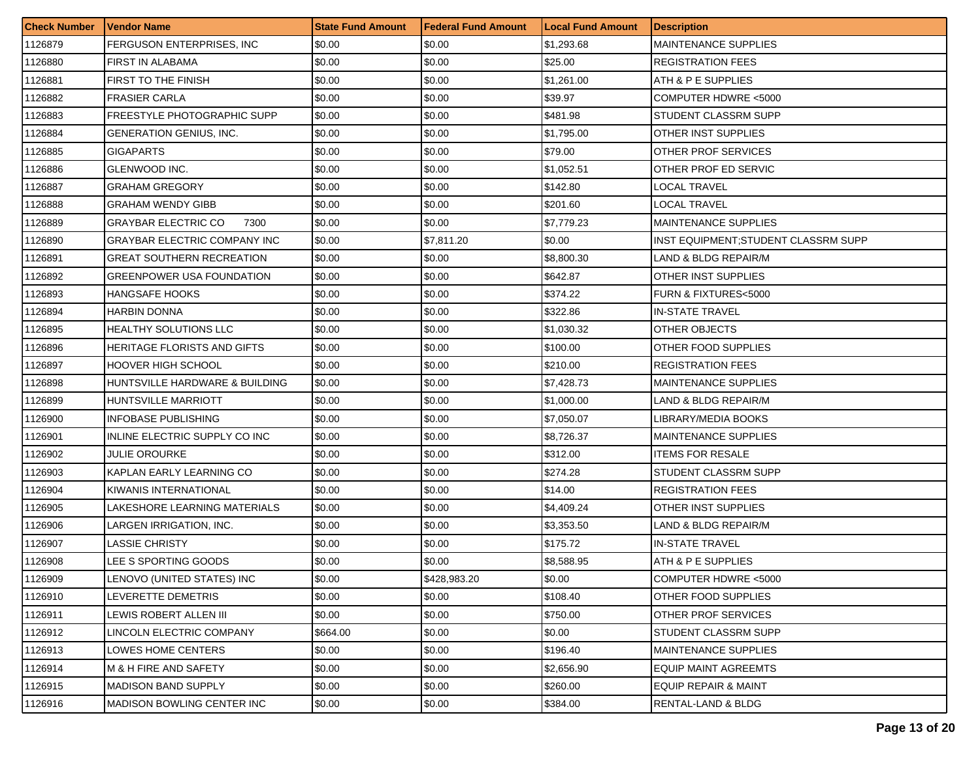| <b>Check Number</b> | <b>Vendor Name</b>             | <b>State Fund Amount</b> | l Federal Fund Amount | <b>Local Fund Amount</b> | <b>Description</b>                  |
|---------------------|--------------------------------|--------------------------|-----------------------|--------------------------|-------------------------------------|
| 1126879             | FERGUSON ENTERPRISES, INC      | \$0.00                   | \$0.00                | \$1,293.68               | <b>MAINTENANCE SUPPLIES</b>         |
| 1126880             | <b>FIRST IN ALABAMA</b>        | \$0.00                   | \$0.00                | \$25.00                  | <b>REGISTRATION FEES</b>            |
| 1126881             | FIRST TO THE FINISH            | \$0.00                   | \$0.00                | \$1,261.00               | ATH & P E SUPPLIES                  |
| 1126882             | <b>FRASIER CARLA</b>           | \$0.00                   | \$0.00                | \$39.97                  | COMPUTER HDWRE <5000                |
| 1126883             | FREESTYLE PHOTOGRAPHIC SUPP    | \$0.00                   | \$0.00                | \$481.98                 | STUDENT CLASSRM SUPP                |
| 1126884             | GENERATION GENIUS, INC.        | \$0.00                   | \$0.00                | \$1,795.00               | OTHER INST SUPPLIES                 |
| 1126885             | <b>GIGAPARTS</b>               | \$0.00                   | \$0.00                | \$79.00                  | OTHER PROF SERVICES                 |
| 1126886             | GLENWOOD INC.                  | \$0.00                   | \$0.00                | \$1,052.51               | OTHER PROF ED SERVIC                |
| 1126887             | GRAHAM GREGORY                 | \$0.00                   | \$0.00                | \$142.80                 | <b>LOCAL TRAVEL</b>                 |
| 1126888             | GRAHAM WENDY GIBB              | \$0.00                   | \$0.00                | \$201.60                 | LOCAL TRAVEL                        |
| 1126889             | GRAYBAR ELECTRIC CO<br>7300    | \$0.00                   | \$0.00                | \$7,779.23               | <b>MAINTENANCE SUPPLIES</b>         |
| 1126890             | GRAYBAR ELECTRIC COMPANY INC   | \$0.00                   | \$7,811.20            | \$0.00                   | INST EQUIPMENT:STUDENT CLASSRM SUPP |
| 1126891             | GREAT SOUTHERN RECREATION      | \$0.00                   | \$0.00                | \$8,800.30               | LAND & BLDG REPAIR/M                |
| 1126892             | GREENPOWER USA FOUNDATION      | \$0.00                   | \$0.00                | \$642.87                 | OTHER INST SUPPLIES                 |
| 1126893             | HANGSAFE HOOKS                 | \$0.00                   | \$0.00                | \$374.22                 | <b>FURN &amp; FIXTURES&lt;5000</b>  |
| 1126894             | HARBIN DONNA                   | \$0.00                   | \$0.00                | \$322.86                 | <b>IN-STATE TRAVEL</b>              |
| 1126895             | HEALTHY SOLUTIONS LLC          | \$0.00                   | \$0.00                | \$1,030.32               | OTHER OBJECTS                       |
| 1126896             | HERITAGE FLORISTS AND GIFTS    | \$0.00                   | \$0.00                | \$100.00                 | OTHER FOOD SUPPLIES                 |
| 1126897             | HOOVER HIGH SCHOOL             | \$0.00                   | \$0.00                | \$210.00                 | <b>REGISTRATION FEES</b>            |
| 1126898             | HUNTSVILLE HARDWARE & BUILDING | \$0.00                   | \$0.00                | \$7,428.73               | <b>MAINTENANCE SUPPLIES</b>         |
| 1126899             | HUNTSVILLE MARRIOTT            | \$0.00                   | \$0.00                | \$1,000.00               | LAND & BLDG REPAIR/M                |
| 1126900             | INFOBASE PUBLISHING            | \$0.00                   | \$0.00                | \$7,050.07               | LIBRARY/MEDIA BOOKS                 |
| 1126901             | INLINE ELECTRIC SUPPLY CO INC  | \$0.00                   | \$0.00                | \$8,726.37               | <b>MAINTENANCE SUPPLIES</b>         |
| 1126902             | JULIE OROURKE                  | \$0.00                   | \$0.00                | \$312.00                 | <b>ITEMS FOR RESALE</b>             |
| 1126903             | KAPLAN EARLY LEARNING CO       | \$0.00                   | \$0.00                | \$274.28                 | STUDENT CLASSRM SUPP                |
| 1126904             | KIWANIS INTERNATIONAL          | \$0.00                   | \$0.00                | \$14.00                  | <b>REGISTRATION FEES</b>            |
| 1126905             | LAKESHORE LEARNING MATERIALS   | \$0.00                   | \$0.00                | \$4,409.24               | OTHER INST SUPPLIES                 |
| 1126906             | LARGEN IRRIGATION, INC.        | \$0.00                   | \$0.00                | \$3,353.50               | LAND & BLDG REPAIR/M                |
| 1126907             | LASSIE CHRISTY                 | \$0.00                   | \$0.00                | \$175.72                 | <b>IN-STATE TRAVEL</b>              |
| 1126908             | LEE S SPORTING GOODS           | \$0.00                   | \$0.00                | \$8,588.95               | ATH & P E SUPPLIES                  |
| 1126909             | LENOVO (UNITED STATES) INC     | \$0.00                   | \$428,983.20          | \$0.00                   | COMPUTER HDWRE <5000                |
| 1126910             | LEVERETTE DEMETRIS             | \$0.00                   | \$0.00                | \$108.40                 | OTHER FOOD SUPPLIES                 |
| 1126911             | LEWIS ROBERT ALLEN III         | \$0.00                   | \$0.00                | \$750.00                 | OTHER PROF SERVICES                 |
| 1126912             | LINCOLN ELECTRIC COMPANY       | \$664.00                 | \$0.00                | \$0.00                   | STUDENT CLASSRM SUPP                |
| 1126913             | LOWES HOME CENTERS             | \$0.00                   | \$0.00                | \$196.40                 | <b>MAINTENANCE SUPPLIES</b>         |
| 1126914             | M & H FIRE AND SAFETY          | \$0.00                   | \$0.00                | \$2,656.90               | EQUIP MAINT AGREEMTS                |
| 1126915             | <b>MADISON BAND SUPPLY</b>     | \$0.00                   | \$0.00                | \$260.00                 | EQUIP REPAIR & MAINT                |
| 1126916             | MADISON BOWLING CENTER INC     | \$0.00                   | \$0.00                | \$384.00                 | RENTAL-LAND & BLDG                  |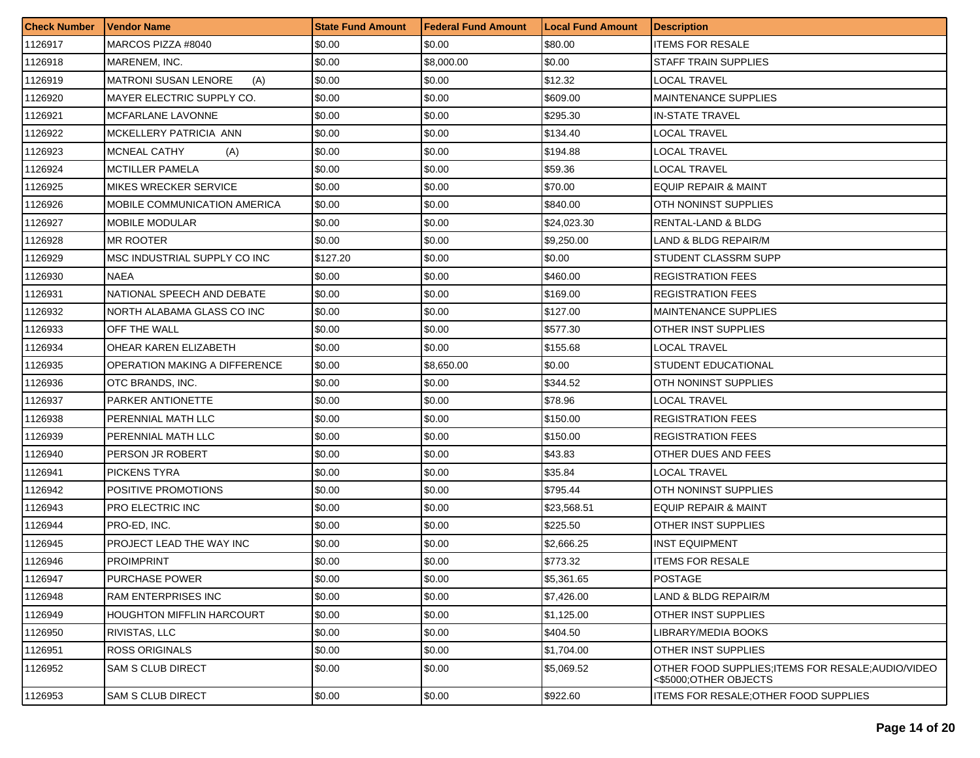| <b>Check Number</b> | <b>Vendor Name</b>                 | <b>State Fund Amount</b> | <b>Federal Fund Amount</b> | <b>Local Fund Amount</b> | <b>Description</b>                                                          |
|---------------------|------------------------------------|--------------------------|----------------------------|--------------------------|-----------------------------------------------------------------------------|
| 1126917             | MARCOS PIZZA #8040                 | \$0.00                   | \$0.00                     | \$80.00                  | <b>ITEMS FOR RESALE</b>                                                     |
| 1126918             | MARENEM, INC.                      | \$0.00                   | \$8,000.00                 | \$0.00                   | <b>STAFF TRAIN SUPPLIES</b>                                                 |
| 1126919             | <b>MATRONI SUSAN LENORE</b><br>(A) | \$0.00                   | \$0.00                     | \$12.32                  | LOCAL TRAVEL                                                                |
| 1126920             | MAYER ELECTRIC SUPPLY CO.          | \$0.00                   | \$0.00                     | \$609.00                 | <b>MAINTENANCE SUPPLIES</b>                                                 |
| 1126921             | MCFARLANE LAVONNE                  | \$0.00                   | \$0.00                     | \$295.30                 | <b>IN-STATE TRAVEL</b>                                                      |
| 1126922             | MCKELLERY PATRICIA ANN             | \$0.00                   | \$0.00                     | \$134.40                 | LOCAL TRAVEL                                                                |
| 1126923             | MCNEAL CATHY<br>(A)                | \$0.00                   | \$0.00                     | \$194.88                 | LOCAL TRAVEL                                                                |
| 1126924             | <b>MCTILLER PAMELA</b>             | \$0.00                   | \$0.00                     | \$59.36                  | LOCAL TRAVEL                                                                |
| 1126925             | <b>MIKES WRECKER SERVICE</b>       | \$0.00                   | \$0.00                     | \$70.00                  | <b>EQUIP REPAIR &amp; MAINT</b>                                             |
| 1126926             | MOBILE COMMUNICATION AMERICA       | \$0.00                   | \$0.00                     | \$840.00                 | OTH NONINST SUPPLIES                                                        |
| 1126927             | <b>MOBILE MODULAR</b>              | \$0.00                   | \$0.00                     | \$24,023.30              | RENTAL-LAND & BLDG                                                          |
| 1126928             | MR ROOTER                          | \$0.00                   | \$0.00                     | \$9,250.00               | LAND & BLDG REPAIR/M                                                        |
| 1126929             | MSC INDUSTRIAL SUPPLY CO INC       | \$127.20                 | \$0.00                     | \$0.00                   | STUDENT CLASSRM SUPP                                                        |
| 1126930             | <b>NAEA</b>                        | \$0.00                   | \$0.00                     | \$460.00                 | <b>REGISTRATION FEES</b>                                                    |
| 1126931             | NATIONAL SPEECH AND DEBATE         | \$0.00                   | \$0.00                     | \$169.00                 | <b>REGISTRATION FEES</b>                                                    |
| 1126932             | NORTH ALABAMA GLASS CO INC         | \$0.00                   | \$0.00                     | \$127.00                 | <b>MAINTENANCE SUPPLIES</b>                                                 |
| 1126933             | OFF THE WALL                       | \$0.00                   | \$0.00                     | \$577.30                 | OTHER INST SUPPLIES                                                         |
| 1126934             | OHEAR KAREN ELIZABETH              | \$0.00                   | \$0.00                     | \$155.68                 | <b>LOCAL TRAVEL</b>                                                         |
| 1126935             | OPERATION MAKING A DIFFERENCE      | \$0.00                   | \$8,650.00                 | \$0.00                   | STUDENT EDUCATIONAL                                                         |
| 1126936             | OTC BRANDS, INC.                   | \$0.00                   | \$0.00                     | \$344.52                 | OTH NONINST SUPPLIES                                                        |
| 1126937             | PARKER ANTIONETTE                  | \$0.00                   | \$0.00                     | \$78.96                  | <b>LOCAL TRAVEL</b>                                                         |
| 1126938             | PERENNIAL MATH LLC                 | \$0.00                   | \$0.00                     | \$150.00                 | <b>REGISTRATION FEES</b>                                                    |
| 1126939             | PERENNIAL MATH LLC                 | \$0.00                   | \$0.00                     | \$150.00                 | <b>REGISTRATION FEES</b>                                                    |
| 1126940             | PERSON JR ROBERT                   | \$0.00                   | \$0.00                     | \$43.83                  | OTHER DUES AND FEES                                                         |
| 1126941             | <b>PICKENS TYRA</b>                | \$0.00                   | \$0.00                     | \$35.84                  | LOCAL TRAVEL                                                                |
| 1126942             | POSITIVE PROMOTIONS                | \$0.00                   | \$0.00                     | \$795.44                 | OTH NONINST SUPPLIES                                                        |
| 1126943             | PRO ELECTRIC INC                   | \$0.00                   | \$0.00                     | \$23,568.51              | <b>EQUIP REPAIR &amp; MAINT</b>                                             |
| 1126944             | PRO-ED, INC.                       | \$0.00                   | \$0.00                     | \$225.50                 | OTHER INST SUPPLIES                                                         |
| 1126945             | PROJECT LEAD THE WAY INC           | \$0.00                   | \$0.00                     | \$2,666.25               | <b>INST EQUIPMENT</b>                                                       |
| 1126946             | <b>PROIMPRINT</b>                  | \$0.00                   | \$0.00                     | \$773.32                 | <b>ITEMS FOR RESALE</b>                                                     |
| 1126947             | <b>PURCHASE POWER</b>              | \$0.00                   | \$0.00                     | \$5,361.65               | <b>POSTAGE</b>                                                              |
| 1126948             | <b>RAM ENTERPRISES INC</b>         | \$0.00                   | \$0.00                     | \$7,426.00               | LAND & BLDG REPAIR/M                                                        |
| 1126949             | <b>HOUGHTON MIFFLIN HARCOURT</b>   | \$0.00                   | \$0.00                     | \$1,125.00               | <b>OTHER INST SUPPLIES</b>                                                  |
| 1126950             | <b>RIVISTAS, LLC</b>               | \$0.00                   | \$0.00                     | \$404.50                 | LIBRARY/MEDIA BOOKS                                                         |
| 1126951             | <b>ROSS ORIGINALS</b>              | \$0.00                   | \$0.00                     | \$1,704.00               | <b>OTHER INST SUPPLIES</b>                                                  |
| 1126952             | <b>SAM S CLUB DIRECT</b>           | \$0.00                   | \$0.00                     | \$5,069.52               | OTHER FOOD SUPPLIES: ITEMS FOR RESALE: AUDIO/VIDEO<br><\$5000;OTHER OBJECTS |
| 1126953             | <b>SAM S CLUB DIRECT</b>           | \$0.00                   | \$0.00                     | \$922.60                 | <b>ITEMS FOR RESALE: OTHER FOOD SUPPLIES</b>                                |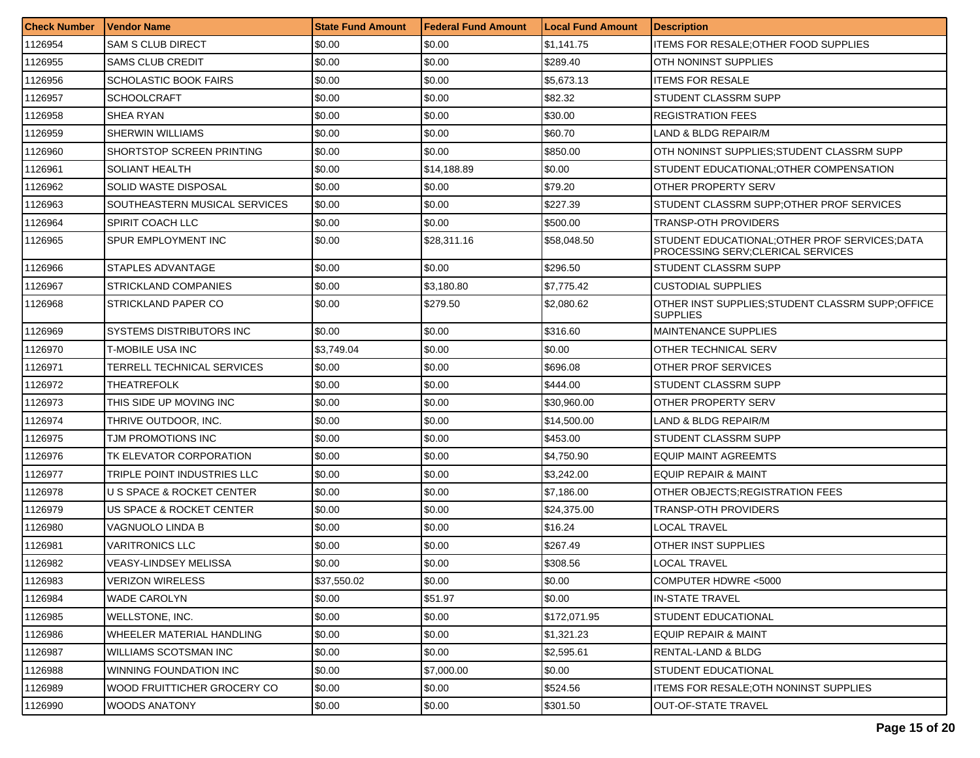| <b>Check Number</b> | <b>Vendor Name</b>               | <b>State Fund Amount</b> | Federal Fund Amount | <b>Local Fund Amount</b> | <b>Description</b>                                                                   |
|---------------------|----------------------------------|--------------------------|---------------------|--------------------------|--------------------------------------------------------------------------------------|
| 1126954             | SAM S CLUB DIRECT                | \$0.00                   | \$0.00              | \$1,141.75               | ITEMS FOR RESALE; OTHER FOOD SUPPLIES                                                |
| 1126955             | <b>SAMS CLUB CREDIT</b>          | \$0.00                   | \$0.00              | \$289.40                 | OTH NONINST SUPPLIES                                                                 |
| 1126956             | <b>SCHOLASTIC BOOK FAIRS</b>     | \$0.00                   | \$0.00              | \$5,673.13               | <b>ITEMS FOR RESALE</b>                                                              |
| 1126957             | <b>SCHOOLCRAFT</b>               | \$0.00                   | \$0.00              | \$82.32                  | <b>STUDENT CLASSRM SUPP</b>                                                          |
| 1126958             | SHEA RYAN                        | \$0.00                   | \$0.00              | \$30.00                  | <b>REGISTRATION FEES</b>                                                             |
| 1126959             | <b>SHERWIN WILLIAMS</b>          | \$0.00                   | \$0.00              | \$60.70                  | LAND & BLDG REPAIR/M                                                                 |
| 1126960             | SHORTSTOP SCREEN PRINTING        | \$0.00                   | \$0.00              | \$850.00                 | OTH NONINST SUPPLIES;STUDENT CLASSRM SUPP                                            |
| 1126961             | SOLIANT HEALTH                   | \$0.00                   | \$14,188.89         | \$0.00                   | STUDENT EDUCATIONAL;OTHER COMPENSATION                                               |
| 1126962             | SOLID WASTE DISPOSAL             | \$0.00                   | \$0.00              | \$79.20                  | OTHER PROPERTY SERV                                                                  |
| 1126963             | SOUTHEASTERN MUSICAL SERVICES    | \$0.00                   | \$0.00              | \$227.39                 | STUDENT CLASSRM SUPP; OTHER PROF SERVICES                                            |
| 1126964             | SPIRIT COACH LLC                 | \$0.00                   | \$0.00              | \$500.00                 | TRANSP-OTH PROVIDERS                                                                 |
| 1126965             | SPUR EMPLOYMENT INC              | \$0.00                   | \$28,311.16         | \$58,048.50              | STUDENT EDUCATIONAL; OTHER PROF SERVICES; DATA<br>PROCESSING SERV; CLERICAL SERVICES |
| 1126966             | STAPLES ADVANTAGE                | \$0.00                   | \$0.00              | \$296.50                 | <b>STUDENT CLASSRM SUPP</b>                                                          |
| 1126967             | STRICKLAND COMPANIES             | \$0.00                   | \$3,180.80          | \$7.775.42               | CUSTODIAL SUPPLIES                                                                   |
| 1126968             | STRICKLAND PAPER CO              | \$0.00                   | \$279.50            | \$2,080.62               | OTHER INST SUPPLIES:STUDENT CLASSRM SUPP:OFFICE<br>ISUPPLIES                         |
| 1126969             | <b>SYSTEMS DISTRIBUTORS INC.</b> | \$0.00                   | \$0.00              | \$316.60                 | <b>MAINTENANCE SUPPLIES</b>                                                          |
| 1126970             | T-MOBILE USA INC                 | \$3,749.04               | \$0.00              | \$0.00                   | IOTHER TECHNICAL SERV                                                                |
| 1126971             | TERRELL TECHNICAL SERVICES       | \$0.00                   | \$0.00              | \$696.08                 | OTHER PROF SERVICES                                                                  |
| 1126972             | THEATREFOLK                      | \$0.00                   | \$0.00              | \$444.00                 | STUDENT CLASSRM SUPP                                                                 |
| 1126973             | THIS SIDE UP MOVING INC          | \$0.00                   | \$0.00              | \$30,960.00              | OTHER PROPERTY SERV                                                                  |
| 1126974             | THRIVE OUTDOOR, INC.             | \$0.00                   | \$0.00              | \$14,500.00              | LAND & BLDG REPAIR/M                                                                 |
| 1126975             | TJM PROMOTIONS INC               | \$0.00                   | \$0.00              | \$453.00                 | <b>STUDENT CLASSRM SUPP</b>                                                          |
| 1126976             | TK ELEVATOR CORPORATION          | \$0.00                   | \$0.00              | \$4,750.90               | <b>EQUIP MAINT AGREEMTS</b>                                                          |
| 1126977             | TRIPLE POINT INDUSTRIES LLC      | \$0.00                   | \$0.00              | \$3,242.00               | EQUIP REPAIR & MAINT                                                                 |
| 1126978             | U S SPACE & ROCKET CENTER        | \$0.00                   | \$0.00              | \$7,186.00               | OTHER OBJECTS:REGISTRATION FEES                                                      |
| 1126979             | US SPACE & ROCKET CENTER         | \$0.00                   | \$0.00              | \$24,375.00              | <b>TRANSP-OTH PROVIDERS</b>                                                          |
| 1126980             | VAGNUOLO LINDA B                 | \$0.00                   | \$0.00              | \$16.24                  | <b>LOCAL TRAVEL</b>                                                                  |
| 1126981             | VARITRONICS LLC                  | \$0.00                   | \$0.00              | \$267.49                 | OTHER INST SUPPLIES                                                                  |
| 1126982             | VEASY-LINDSEY MELISSA            | \$0.00                   | \$0.00              | \$308.56                 | <b>LOCAL TRAVEL</b>                                                                  |
| 1126983             | <b>VERIZON WIRELESS</b>          | \$37,550.02              | \$0.00              | \$0.00                   | COMPUTER HDWRE <5000                                                                 |
| 1126984             | <b>WADE CAROLYN</b>              | \$0.00                   | \$51.97             | \$0.00                   | IN-STATE TRAVEL                                                                      |
| 1126985             | <b>WELLSTONE, INC.</b>           | \$0.00                   | \$0.00              | \$172,071.95             | <b>STUDENT EDUCATIONAL</b>                                                           |
| 1126986             | WHEELER MATERIAL HANDLING        | \$0.00                   | \$0.00              | \$1,321.23               | EQUIP REPAIR & MAINT                                                                 |
| 1126987             | <b>WILLIAMS SCOTSMAN INC</b>     | \$0.00                   | \$0.00              | \$2,595.61               | <b>RENTAL-LAND &amp; BLDG</b>                                                        |
| 1126988             | WINNING FOUNDATION INC           | \$0.00                   | \$7,000.00          | \$0.00                   | <b>STUDENT EDUCATIONAL</b>                                                           |
| 1126989             | WOOD FRUITTICHER GROCERY CO      | \$0.00                   | \$0.00              | \$524.56                 | ITEMS FOR RESALE;OTH NONINST SUPPLIES                                                |
| 1126990             | <b>WOODS ANATONY</b>             | \$0.00                   | \$0.00              | \$301.50                 | <b>I</b> OUT-OF-STATE TRAVEL                                                         |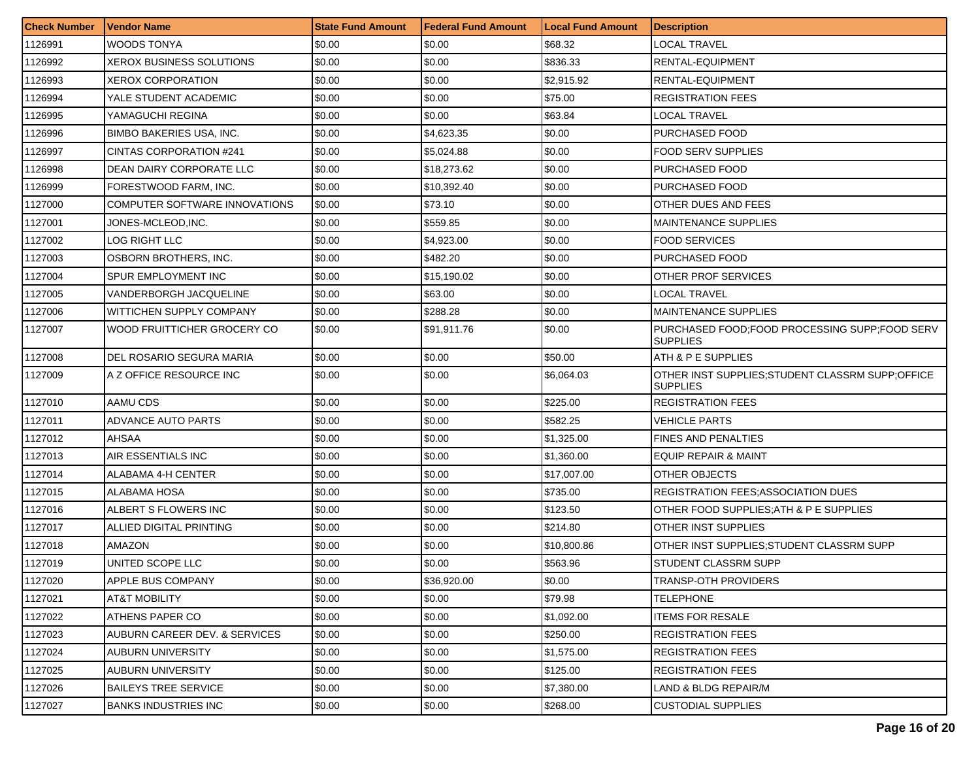| <b>Check Number</b> | <b>Vendor Name</b>              | <b>State Fund Amount</b> | Federal Fund Amount | <b>Local Fund Amount</b> | <b>Description</b>                                                   |
|---------------------|---------------------------------|--------------------------|---------------------|--------------------------|----------------------------------------------------------------------|
| 1126991             | WOODS TONYA                     | \$0.00                   | \$0.00              | \$68.32                  | LOCAL TRAVEL                                                         |
| 1126992             | <b>XEROX BUSINESS SOLUTIONS</b> | \$0.00                   | \$0.00              | \$836.33                 | RENTAL-EQUIPMENT                                                     |
| 1126993             | <b>XEROX CORPORATION</b>        | \$0.00                   | \$0.00              | \$2,915.92               | RENTAL-EQUIPMENT                                                     |
| 1126994             | YALE STUDENT ACADEMIC           | \$0.00                   | \$0.00              | \$75.00                  | <b>REGISTRATION FEES</b>                                             |
| 1126995             | YAMAGUCHI REGINA                | \$0.00                   | \$0.00              | \$63.84                  | LOCAL TRAVEL                                                         |
| 1126996             | <b>BIMBO BAKERIES USA, INC.</b> | \$0.00                   | \$4,623.35          | \$0.00                   | PURCHASED FOOD                                                       |
| 1126997             | <b>CINTAS CORPORATION #241</b>  | \$0.00                   | \$5,024.88          | \$0.00                   | FOOD SERV SUPPLIES                                                   |
| 1126998             | DEAN DAIRY CORPORATE LLC        | \$0.00                   | \$18,273.62         | \$0.00                   | PURCHASED FOOD                                                       |
| 1126999             | FORESTWOOD FARM, INC.           | \$0.00                   | \$10,392.40         | \$0.00                   | PURCHASED FOOD                                                       |
| 1127000             | COMPUTER SOFTWARE INNOVATIONS   | \$0.00                   | \$73.10             | \$0.00                   | OTHER DUES AND FEES                                                  |
| 1127001             | JONES-MCLEOD,INC.               | \$0.00                   | \$559.85            | \$0.00                   | <b>MAINTENANCE SUPPLIES</b>                                          |
| 1127002             | LOG RIGHT LLC                   | \$0.00                   | \$4,923.00          | \$0.00                   | FOOD SERVICES                                                        |
| 1127003             | OSBORN BROTHERS. INC.           | \$0.00                   | \$482.20            | \$0.00                   | PURCHASED FOOD                                                       |
| 1127004             | SPUR EMPLOYMENT INC             | \$0.00                   | \$15.190.02         | \$0.00                   | OTHER PROF SERVICES                                                  |
| 1127005             | VANDERBORGH JACQUELINE          | \$0.00                   | \$63.00             | \$0.00                   | LOCAL TRAVEL                                                         |
| 1127006             | WITTICHEN SUPPLY COMPANY        | \$0.00                   | \$288.28            | \$0.00                   | <b>MAINTENANCE SUPPLIES</b>                                          |
| 1127007             | WOOD FRUITTICHER GROCERY CO     | \$0.00                   | \$91,911.76         | \$0.00                   | PURCHASED FOOD: FOOD PROCESSING SUPP: FOOD SERV<br><b>SUPPLIES</b>   |
| 1127008             | DEL ROSARIO SEGURA MARIA        | \$0.00                   | \$0.00              | \$50.00                  | ATH & P E SUPPLIES                                                   |
| 1127009             | A Z OFFICE RESOURCE INC         | \$0.00                   | \$0.00              | \$6,064.03               | OTHER INST SUPPLIES; STUDENT CLASSRM SUPP; OFFICE<br><b>SUPPLIES</b> |
| 1127010             | AAMU CDS                        | \$0.00                   | \$0.00              | \$225.00                 | <b>REGISTRATION FEES</b>                                             |
| 1127011             | ADVANCE AUTO PARTS              | \$0.00                   | \$0.00              | \$582.25                 | VEHICLE PARTS                                                        |
| 1127012             | AHSAA                           | \$0.00                   | \$0.00              | \$1,325.00               | <b>FINES AND PENALTIES</b>                                           |
| 1127013             | AIR ESSENTIALS INC              | \$0.00                   | \$0.00              | \$1,360.00               | EQUIP REPAIR & MAINT                                                 |
| 1127014             | ALABAMA 4-H CENTER              | \$0.00                   | \$0.00              | \$17,007.00              | OTHER OBJECTS                                                        |
| 1127015             | ALABAMA HOSA                    | \$0.00                   | \$0.00              | \$735.00                 | <b>REGISTRATION FEES;ASSOCIATION DUES</b>                            |
| 1127016             | ALBERT S FLOWERS INC            | \$0.00                   | \$0.00              | \$123.50                 | OTHER FOOD SUPPLIES:ATH & P E SUPPLIES                               |
| 1127017             | ALLIED DIGITAL PRINTING         | \$0.00                   | \$0.00              | \$214.80                 | OTHER INST SUPPLIES                                                  |
| 1127018             | AMAZON                          | \$0.00                   | \$0.00              | \$10,800.86              | OTHER INST SUPPLIES:STUDENT CLASSRM SUPP                             |
| 1127019             | UNITED SCOPE LLC                | \$0.00                   | \$0.00              | \$563.96                 | STUDENT CLASSRM SUPP                                                 |
| 1127020             | APPLE BUS COMPANY               | \$0.00                   | \$36,920.00         | \$0.00                   | <b>TRANSP-OTH PROVIDERS</b>                                          |
| 1127021             | AT&T MOBILITY                   | \$0.00                   | \$0.00              | \$79.98                  | <b>TELEPHONE</b>                                                     |
| 1127022             | <b>ATHENS PAPER CO</b>          | \$0.00                   | \$0.00              | \$1,092.00               | <b>ITEMS FOR RESALE</b>                                              |
| 1127023             | AUBURN CAREER DEV. & SERVICES   | \$0.00                   | \$0.00              | \$250.00                 | <b>REGISTRATION FEES</b>                                             |
| 1127024             | AUBURN UNIVERSITY               | \$0.00                   | \$0.00              | \$1,575.00               | <b>REGISTRATION FEES</b>                                             |
| 1127025             | AUBURN UNIVERSITY               | \$0.00                   | \$0.00              | \$125.00                 | <b>REGISTRATION FEES</b>                                             |
| 1127026             | <b>BAILEYS TREE SERVICE</b>     | \$0.00                   | \$0.00              | \$7,380.00               | LAND & BLDG REPAIR/M                                                 |
| 1127027             | <b>BANKS INDUSTRIES INC</b>     | \$0.00                   | \$0.00              | \$268.00                 | <b>CUSTODIAL SUPPLIES</b>                                            |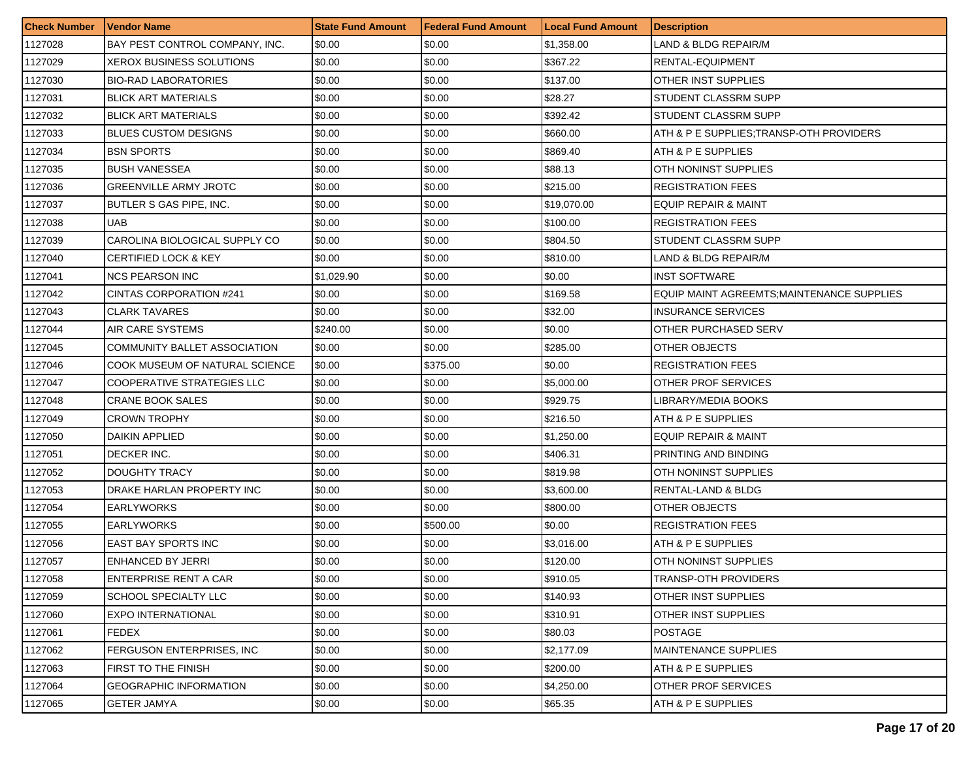| <b>Check Number</b> | <b>Vendor Name</b>              | <b>State Fund Amount</b> | <b>Federal Fund Amount</b> | <b>Local Fund Amount</b> | <b>Description</b>                         |
|---------------------|---------------------------------|--------------------------|----------------------------|--------------------------|--------------------------------------------|
| 1127028             | BAY PEST CONTROL COMPANY, INC.  | \$0.00                   | \$0.00                     | \$1,358.00               | LAND & BLDG REPAIR/M                       |
| 1127029             | XEROX BUSINESS SOLUTIONS        | \$0.00                   | \$0.00                     | \$367.22                 | RENTAL-EQUIPMENT                           |
| 1127030             | <b>BIO-RAD LABORATORIES</b>     | \$0.00                   | \$0.00                     | \$137.00                 | OTHER INST SUPPLIES                        |
| 1127031             | <b>BLICK ART MATERIALS</b>      | \$0.00                   | \$0.00                     | \$28.27                  | STUDENT CLASSRM SUPP                       |
| 1127032             | <b>BLICK ART MATERIALS</b>      | \$0.00                   | \$0.00                     | \$392.42                 | STUDENT CLASSRM SUPP                       |
| 1127033             | <b>BLUES CUSTOM DESIGNS</b>     | \$0.00                   | \$0.00                     | \$660.00                 | ATH & P E SUPPLIES; TRANSP-OTH PROVIDERS   |
| 1127034             | <b>BSN SPORTS</b>               | \$0.00                   | \$0.00                     | \$869.40                 | ATH & P E SUPPLIES                         |
| 1127035             | <b>BUSH VANESSEA</b>            | \$0.00                   | \$0.00                     | \$88.13                  | OTH NONINST SUPPLIES                       |
| 1127036             | <b>GREENVILLE ARMY JROTC</b>    | \$0.00                   | \$0.00                     | \$215.00                 | <b>REGISTRATION FEES</b>                   |
| 1127037             | BUTLER S GAS PIPE, INC.         | \$0.00                   | \$0.00                     | \$19,070.00              | EQUIP REPAIR & MAINT                       |
| 1127038             | <b>UAB</b>                      | \$0.00                   | \$0.00                     | \$100.00                 | <b>REGISTRATION FEES</b>                   |
| 1127039             | CAROLINA BIOLOGICAL SUPPLY CO   | \$0.00                   | \$0.00                     | \$804.50                 | STUDENT CLASSRM SUPP                       |
| 1127040             | <b>CERTIFIED LOCK &amp; KEY</b> | \$0.00                   | \$0.00                     | \$810.00                 | LAND & BLDG REPAIR/M                       |
| 1127041             | <b>NCS PEARSON INC</b>          | \$1,029.90               | \$0.00                     | \$0.00                   | <b>INST SOFTWARE</b>                       |
| 1127042             | <b>CINTAS CORPORATION #241</b>  | \$0.00                   | \$0.00                     | \$169.58                 | EQUIP MAINT AGREEMTS; MAINTENANCE SUPPLIES |
| 1127043             | <b>CLARK TAVARES</b>            | \$0.00                   | \$0.00                     | \$32.00                  | <b>INSURANCE SERVICES</b>                  |
| 1127044             | AIR CARE SYSTEMS                | \$240.00                 | \$0.00                     | \$0.00                   | OTHER PURCHASED SERV                       |
| 1127045             | COMMUNITY BALLET ASSOCIATION    | \$0.00                   | \$0.00                     | \$285.00                 | OTHER OBJECTS                              |
| 1127046             | COOK MUSEUM OF NATURAL SCIENCE  | \$0.00                   | \$375.00                   | \$0.00                   | <b>REGISTRATION FEES</b>                   |
| 1127047             | COOPERATIVE STRATEGIES LLC      | \$0.00                   | \$0.00                     | \$5,000.00               | OTHER PROF SERVICES                        |
| 1127048             | <b>CRANE BOOK SALES</b>         | \$0.00                   | \$0.00                     | \$929.75                 | LIBRARY/MEDIA BOOKS                        |
| 1127049             | <b>CROWN TROPHY</b>             | \$0.00                   | \$0.00                     | \$216.50                 | ATH & P E SUPPLIES                         |
| 1127050             | <b>DAIKIN APPLIED</b>           | \$0.00                   | \$0.00                     | \$1,250.00               | <b>EQUIP REPAIR &amp; MAINT</b>            |
| 1127051             | DECKER INC.                     | \$0.00                   | \$0.00                     | \$406.31                 | PRINTING AND BINDING                       |
| 1127052             | DOUGHTY TRACY                   | \$0.00                   | \$0.00                     | \$819.98                 | OTH NONINST SUPPLIES                       |
| 1127053             | DRAKE HARLAN PROPERTY INC       | \$0.00                   | \$0.00                     | \$3,600.00               | RENTAL-LAND & BLDG                         |
| 1127054             | <b>EARLYWORKS</b>               | \$0.00                   | \$0.00                     | \$800.00                 | OTHER OBJECTS                              |
| 1127055             | <b>EARLYWORKS</b>               | \$0.00                   | \$500.00                   | \$0.00                   | <b>REGISTRATION FEES</b>                   |
| 1127056             | <b>EAST BAY SPORTS INC</b>      | \$0.00                   | \$0.00                     | \$3,016.00               | ATH & P E SUPPLIES                         |
| 1127057             | ENHANCED BY JERRI               | \$0.00                   | \$0.00                     | \$120.00                 | OTH NONINST SUPPLIES                       |
| 1127058             | <b>ENTERPRISE RENT A CAR</b>    | \$0.00                   | \$0.00                     | \$910.05                 | <b>TRANSP-OTH PROVIDERS</b>                |
| 1127059             | SCHOOL SPECIALTY LLC            | \$0.00                   | \$0.00                     | \$140.93                 | OTHER INST SUPPLIES                        |
| 1127060             | <b>EXPO INTERNATIONAL</b>       | \$0.00                   | \$0.00                     | \$310.91                 | <b>OTHER INST SUPPLIES</b>                 |
| 1127061             | <b>FEDEX</b>                    | \$0.00                   | \$0.00                     | \$80.03                  | <b>POSTAGE</b>                             |
| 1127062             | FERGUSON ENTERPRISES, INC.      | \$0.00                   | \$0.00                     | \$2,177.09               | <b>MAINTENANCE SUPPLIES</b>                |
| 1127063             | FIRST TO THE FINISH             | \$0.00                   | \$0.00                     | \$200.00                 | ATH & P E SUPPLIES                         |
| 1127064             | <b>GEOGRAPHIC INFORMATION</b>   | \$0.00                   | \$0.00                     | \$4,250.00               | OTHER PROF SERVICES                        |
| 1127065             | <b>GETER JAMYA</b>              | \$0.00                   | \$0.00                     | \$65.35                  | ATH & P E SUPPLIES                         |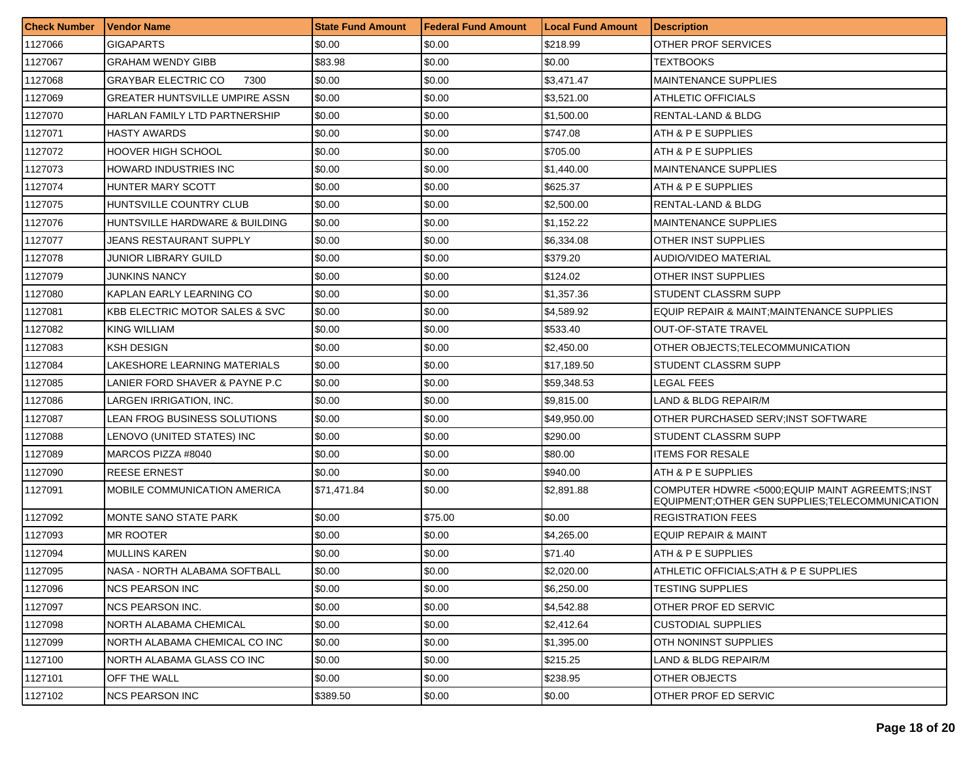| <b>Check Number</b> | <b>Vendor Name</b>                        | <b>State Fund Amount</b> | Federal Fund Amount | <b>Local Fund Amount</b> | <b>Description</b>                                                                                   |
|---------------------|-------------------------------------------|--------------------------|---------------------|--------------------------|------------------------------------------------------------------------------------------------------|
| 1127066             | <b>GIGAPARTS</b>                          | \$0.00                   | \$0.00              | \$218.99                 | OTHER PROF SERVICES                                                                                  |
| 1127067             | <b>GRAHAM WENDY GIBB</b>                  | \$83.98                  | \$0.00              | \$0.00                   | <b>TEXTBOOKS</b>                                                                                     |
| 1127068             | <b>GRAYBAR ELECTRIC CO</b><br>7300        | \$0.00                   | \$0.00              | \$3,471.47               | <b>MAINTENANCE SUPPLIES</b>                                                                          |
| 1127069             | <b>GREATER HUNTSVILLE UMPIRE ASSN</b>     | \$0.00                   | \$0.00              | \$3,521.00               | <b>ATHLETIC OFFICIALS</b>                                                                            |
| 1127070             | HARLAN FAMILY LTD PARTNERSHIP             | \$0.00                   | \$0.00              | \$1,500.00               | RENTAL-LAND & BLDG                                                                                   |
| 1127071             | <b>HASTY AWARDS</b>                       | \$0.00                   | \$0.00              | \$747.08                 | ATH & P E SUPPLIES                                                                                   |
| 1127072             | <b>HOOVER HIGH SCHOOL</b>                 | \$0.00                   | \$0.00              | \$705.00                 | ATH & P E SUPPLIES                                                                                   |
| 1127073             | HOWARD INDUSTRIES INC                     | \$0.00                   | \$0.00              | \$1,440.00               | <b>MAINTENANCE SUPPLIES</b>                                                                          |
| 1127074             | HUNTER MARY SCOTT                         | \$0.00                   | \$0.00              | \$625.37                 | ATH & P E SUPPLIES                                                                                   |
| 1127075             | HUNTSVILLE COUNTRY CLUB                   | \$0.00                   | \$0.00              | \$2,500.00               | RENTAL-LAND & BLDG                                                                                   |
| 1127076             | HUNTSVILLE HARDWARE & BUILDING            | \$0.00                   | \$0.00              | \$1,152.22               | MAINTENANCE SUPPLIES                                                                                 |
| 1127077             | JEANS RESTAURANT SUPPLY                   | \$0.00                   | \$0.00              | \$6,334.08               | OTHER INST SUPPLIES                                                                                  |
| 1127078             | JUNIOR LIBRARY GUILD                      | \$0.00                   | \$0.00              | \$379.20                 | AUDIO/VIDEO MATERIAL                                                                                 |
| 1127079             | <b>JUNKINS NANCY</b>                      | \$0.00                   | \$0.00              | \$124.02                 | OTHER INST SUPPLIES                                                                                  |
| 1127080             | KAPLAN EARLY LEARNING CO                  | \$0.00                   | \$0.00              | \$1,357.36               | STUDENT CLASSRM SUPP                                                                                 |
| 1127081             | <b>KBB ELECTRIC MOTOR SALES &amp; SVC</b> | \$0.00                   | \$0.00              | \$4,589.92               | EQUIP REPAIR & MAINT; MAINTENANCE SUPPLIES                                                           |
| 1127082             | <b>KING WILLIAM</b>                       | \$0.00                   | \$0.00              | \$533.40                 | <b>OUT-OF-STATE TRAVEL</b>                                                                           |
| 1127083             | <b>KSH DESIGN</b>                         | \$0.00                   | \$0.00              | \$2,450.00               | OTHER OBJECTS: TELECOMMUNICATION                                                                     |
| 1127084             | LAKESHORE LEARNING MATERIALS              | \$0.00                   | \$0.00              | \$17,189.50              | <b>STUDENT CLASSRM SUPP</b>                                                                          |
| 1127085             | LANIER FORD SHAVER & PAYNE P.C            | \$0.00                   | \$0.00              | \$59,348.53              | LEGAL FEES                                                                                           |
| 1127086             | LARGEN IRRIGATION, INC.                   | \$0.00                   | \$0.00              | \$9,815.00               | LAND & BLDG REPAIR/M                                                                                 |
| 1127087             | LEAN FROG BUSINESS SOLUTIONS              | \$0.00                   | \$0.00              | \$49,950.00              | OTHER PURCHASED SERV; INST SOFTWARE                                                                  |
| 1127088             | LENOVO (UNITED STATES) INC                | \$0.00                   | \$0.00              | \$290.00                 | STUDENT CLASSRM SUPP                                                                                 |
| 1127089             | MARCOS PIZZA #8040                        | \$0.00                   | \$0.00              | \$80.00                  | <b>ITEMS FOR RESALE</b>                                                                              |
| 1127090             | <b>REESE ERNEST</b>                       | \$0.00                   | \$0.00              | \$940.00                 | ATH & P E SUPPLIES                                                                                   |
| 1127091             | MOBILE COMMUNICATION AMERICA              | \$71,471.84              | \$0.00              | \$2,891.88               | COMPUTER HDWRE <5000; EQUIP MAINT AGREEMTS; INST<br>EQUIPMENT; OTHER GEN SUPPLIES; TELECOMMUNICATION |
| 1127092             | MONTE SANO STATE PARK                     | \$0.00                   | \$75.00             | \$0.00                   | <b>REGISTRATION FEES</b>                                                                             |
| 1127093             | <b>MR ROOTER</b>                          | \$0.00                   | \$0.00              | \$4,265.00               | EQUIP REPAIR & MAINT                                                                                 |
| 1127094             | <b>MULLINS KAREN</b>                      | \$0.00                   | \$0.00              | \$71.40                  | ATH & P E SUPPLIES                                                                                   |
| 1127095             | NASA - NORTH ALABAMA SOFTBALL             | \$0.00                   | \$0.00              | \$2,020.00               | ATHLETIC OFFICIALS; ATH & P E SUPPLIES                                                               |
| 1127096             | <b>NCS PEARSON INC</b>                    | \$0.00                   | \$0.00              | \$6,250.00               | TESTING SUPPLIES                                                                                     |
| 1127097             | <b>NCS PEARSON INC.</b>                   | \$0.00                   | \$0.00              | \$4,542.88               | OTHER PROF ED SERVIC                                                                                 |
| 1127098             | <b>NORTH ALABAMA CHEMICAL</b>             | \$0.00                   | \$0.00              | \$2,412.64               | <b>CUSTODIAL SUPPLIES</b>                                                                            |
| 1127099             | NORTH ALABAMA CHEMICAL CO INC             | \$0.00                   | \$0.00              | \$1,395.00               | OTH NONINST SUPPLIES                                                                                 |
| 1127100             | NORTH ALABAMA GLASS CO INC                | \$0.00                   | \$0.00              | \$215.25                 | LAND & BLDG REPAIR/M                                                                                 |
| 1127101             | OFF THE WALL                              | \$0.00                   | \$0.00              | \$238.95                 | OTHER OBJECTS                                                                                        |
| 1127102             | <b>NCS PEARSON INC</b>                    | \$389.50                 | \$0.00              | \$0.00                   | OTHER PROF ED SERVIC                                                                                 |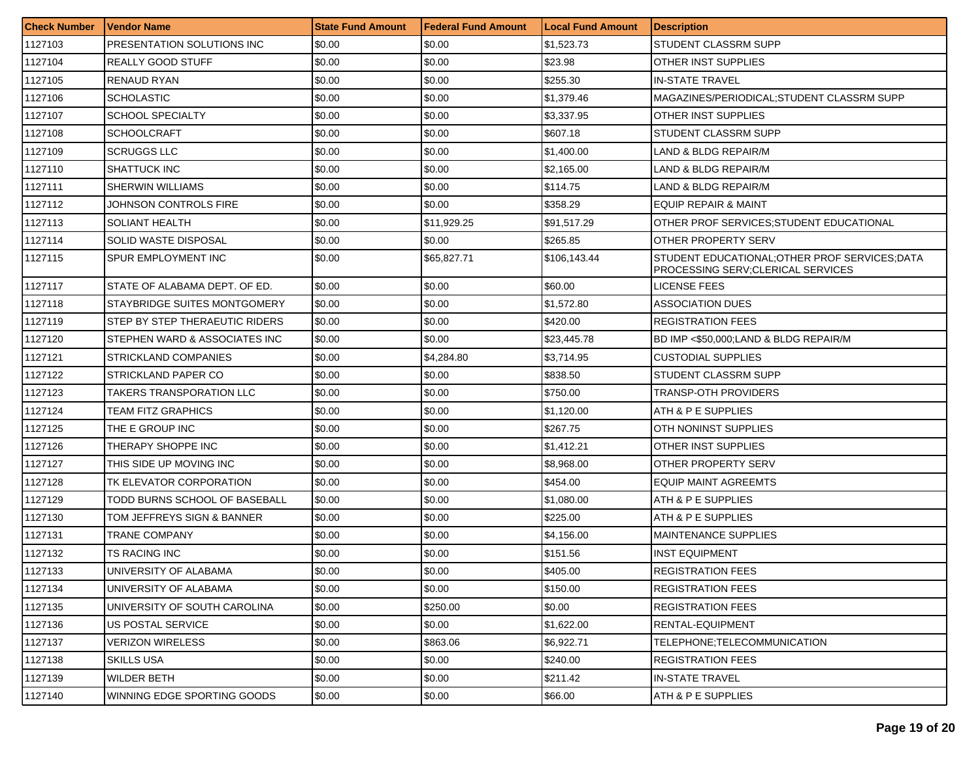| <b>Check Number</b> | l Vendor Name                  | <b>State Fund Amount</b> | Federal Fund Amount | <b>Local Fund Amount</b> | <b>Description</b>                                                                  |
|---------------------|--------------------------------|--------------------------|---------------------|--------------------------|-------------------------------------------------------------------------------------|
| 1127103             | PRESENTATION SOLUTIONS INC     | \$0.00                   | \$0.00              | \$1,523.73               | STUDENT CLASSRM SUPP                                                                |
| 1127104             | <b>REALLY GOOD STUFF</b>       | \$0.00                   | \$0.00              | \$23.98                  | OTHER INST SUPPLIES                                                                 |
| 1127105             | <b>RENAUD RYAN</b>             | \$0.00                   | \$0.00              | \$255.30                 | <b>IN-STATE TRAVEL</b>                                                              |
| 1127106             | <b>SCHOLASTIC</b>              | \$0.00                   | \$0.00              | \$1,379.46               | MAGAZINES/PERIODICAL:STUDENT CLASSRM SUPP                                           |
| 1127107             | <b>SCHOOL SPECIALTY</b>        | \$0.00                   | \$0.00              | \$3,337.95               | OTHER INST SUPPLIES                                                                 |
| 1127108             | <b>SCHOOLCRAFT</b>             | \$0.00                   | \$0.00              | \$607.18                 | STUDENT CLASSRM SUPP                                                                |
| 1127109             | <b>SCRUGGS LLC</b>             | \$0.00                   | \$0.00              | \$1,400.00               | LAND & BLDG REPAIR/M                                                                |
| 1127110             | <b>SHATTUCK INC</b>            | \$0.00                   | \$0.00              | \$2,165.00               | LAND & BLDG REPAIR/M                                                                |
| 1127111             | <b>SHERWIN WILLIAMS</b>        | \$0.00                   | \$0.00              | \$114.75                 | LAND & BLDG REPAIR/M                                                                |
| 1127112             | JOHNSON CONTROLS FIRE          | \$0.00                   | \$0.00              | \$358.29                 | EQUIP REPAIR & MAINT                                                                |
| 1127113             | SOLIANT HEALTH                 | \$0.00                   | \$11,929.25         | \$91,517.29              | OTHER PROF SERVICES; STUDENT EDUCATIONAL                                            |
| 1127114             | SOLID WASTE DISPOSAL           | \$0.00                   | \$0.00              | \$265.85                 | OTHER PROPERTY SERV                                                                 |
| 1127115             | SPUR EMPLOYMENT INC            | \$0.00                   | \$65,827.71         | \$106,143.44             | STUDENT EDUCATIONAL; OTHER PROF SERVICES; DATA<br>PROCESSING SERV:CLERICAL SERVICES |
| 1127117             | STATE OF ALABAMA DEPT. OF ED.  | \$0.00                   | \$0.00              | \$60.00                  | LICENSE FEES                                                                        |
| 1127118             | STAYBRIDGE SUITES MONTGOMERY   | \$0.00                   | \$0.00              | \$1,572.80               | ASSOCIATION DUES                                                                    |
| 1127119             | STEP BY STEP THERAEUTIC RIDERS | \$0.00                   | \$0.00              | \$420.00                 | <b>REGISTRATION FEES</b>                                                            |
| 1127120             | STEPHEN WARD & ASSOCIATES INC  | \$0.00                   | \$0.00              | \$23,445.78              | BD IMP <\$50,000;LAND & BLDG REPAIR/M                                               |
| 1127121             | <b>STRICKLAND COMPANIES</b>    | \$0.00                   | \$4,284.80          | \$3,714.95               | <b>CUSTODIAL SUPPLIES</b>                                                           |
| 1127122             | STRICKLAND PAPER CO            | \$0.00                   | \$0.00              | \$838.50                 | STUDENT CLASSRM SUPP                                                                |
| 1127123             | TAKERS TRANSPORATION LLC       | \$0.00                   | \$0.00              | \$750.00                 | TRANSP-OTH PROVIDERS                                                                |
| 1127124             | TEAM FITZ GRAPHICS             | \$0.00                   | \$0.00              | \$1,120.00               | ATH & P E SUPPLIES                                                                  |
| 1127125             | THE E GROUP INC                | \$0.00                   | \$0.00              | \$267.75                 | OTH NONINST SUPPLIES                                                                |
| 1127126             | THERAPY SHOPPE INC             | \$0.00                   | \$0.00              | \$1,412.21               | OTHER INST SUPPLIES                                                                 |
| 1127127             | THIS SIDE UP MOVING INC        | \$0.00                   | \$0.00              | \$8,968.00               | OTHER PROPERTY SERV                                                                 |
| 1127128             | TK ELEVATOR CORPORATION        | \$0.00                   | \$0.00              | \$454.00                 | EQUIP MAINT AGREEMTS                                                                |
| 1127129             | TODD BURNS SCHOOL OF BASEBALL  | \$0.00                   | \$0.00              | \$1,080.00               | ATH & P E SUPPLIES                                                                  |
| 1127130             | TOM JEFFREYS SIGN & BANNER     | \$0.00                   | \$0.00              | \$225.00                 | ATH & P E SUPPLIES                                                                  |
| 1127131             | TRANE COMPANY                  | \$0.00                   | \$0.00              | \$4,156.00               | <b>MAINTENANCE SUPPLIES</b>                                                         |
| 1127132             | TS RACING INC                  | \$0.00                   | \$0.00              | \$151.56                 | <b>INST EQUIPMENT</b>                                                               |
| 1127133             | UNIVERSITY OF ALABAMA          | \$0.00                   | \$0.00              | \$405.00                 | <b>REGISTRATION FEES</b>                                                            |
| 1127134             | UNIVERSITY OF ALABAMA          | \$0.00                   | \$0.00              | \$150.00                 | <b>REGISTRATION FEES</b>                                                            |
| 1127135             | UNIVERSITY OF SOUTH CAROLINA   | \$0.00                   | \$250.00            | \$0.00                   | <b>REGISTRATION FEES</b>                                                            |
| 1127136             | US POSTAL SERVICE              | \$0.00                   | \$0.00              | \$1,622.00               | RENTAL-EQUIPMENT                                                                    |
| 1127137             | VERIZON WIRELESS               | \$0.00                   | \$863.06            | \$6,922.71               | TELEPHONE;TELECOMMUNICATION                                                         |
| 1127138             | <b>SKILLS USA</b>              | \$0.00                   | \$0.00              | \$240.00                 | REGISTRATION FEES                                                                   |
| 1127139             | <b>WILDER BETH</b>             | \$0.00                   | \$0.00              | \$211.42                 | <b>IN-STATE TRAVEL</b>                                                              |
| 1127140             | WINNING EDGE SPORTING GOODS    | \$0.00                   | \$0.00              | \$66.00                  | ATH & P E SUPPLIES                                                                  |